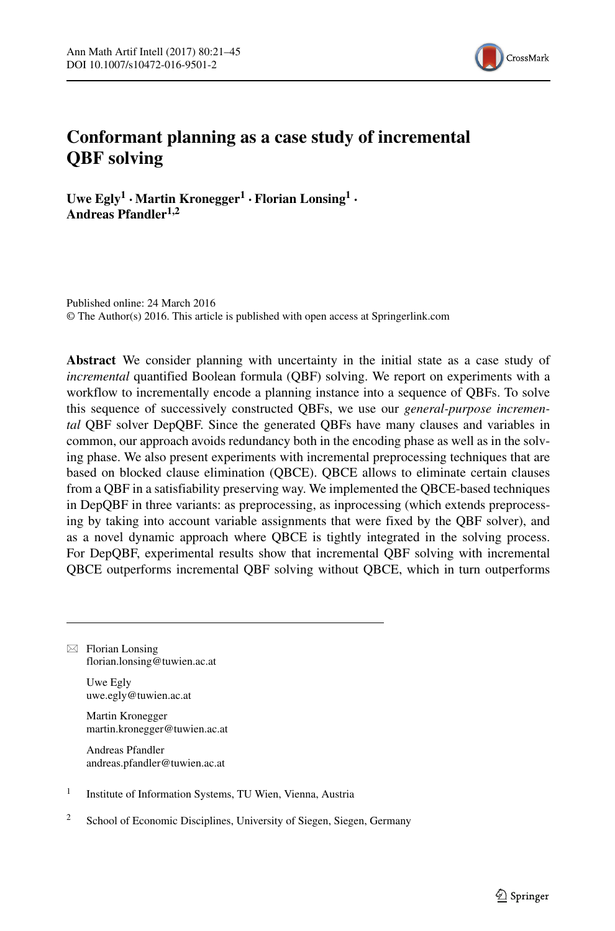

# **Conformant planning as a case study of incremental QBF solving**

**Uwe Egly<sup>1</sup> · Martin Kronegger<sup>1</sup> · Florian Lonsing<sup>1</sup> · Andreas Pfandler1,2**

Published online: 24 March 2016 © The Author(s) 2016. This article is published with open access at Springerlink.com

**Abstract** We consider planning with uncertainty in the initial state as a case study of *incremental* quantified Boolean formula (QBF) solving. We report on experiments with a workflow to incrementally encode a planning instance into a sequence of QBFs. To solve this sequence of successively constructed QBFs, we use our *general-purpose incremental* QBF solver DepQBF. Since the generated QBFs have many clauses and variables in common, our approach avoids redundancy both in the encoding phase as well as in the solving phase. We also present experiments with incremental preprocessing techniques that are based on blocked clause elimination (QBCE). QBCE allows to eliminate certain clauses from a QBF in a satisfiability preserving way. We implemented the QBCE-based techniques in DepQBF in three variants: as preprocessing, as inprocessing (which extends preprocessing by taking into account variable assignments that were fixed by the QBF solver), and as a novel dynamic approach where QBCE is tightly integrated in the solving process. For DepQBF, experimental results show that incremental QBF solving with incremental QBCE outperforms incremental QBF solving without QBCE, which in turn outperforms

 $\boxtimes$  Florian Lonsing [florian.lonsing@tuwien.ac.at](mailto:florian.lonsing@tuwien.ac.at)

> Uwe Egly [uwe.egly@tuwien.ac.at](mailto:uwe.egly@tuwien.ac.at)

Martin Kronegger [martin.kronegger@tuwien.ac.at](mailto:martin.kronegger@tuwien.ac.at)

Andreas Pfandler [andreas.pfandler@tuwien.ac.at](mailto:andreas.pfandler@tuwien.ac.at)

- <sup>1</sup> Institute of Information Systems, TU Wien, Vienna, Austria
- <sup>2</sup> School of Economic Disciplines, University of Siegen, Siegen, Germany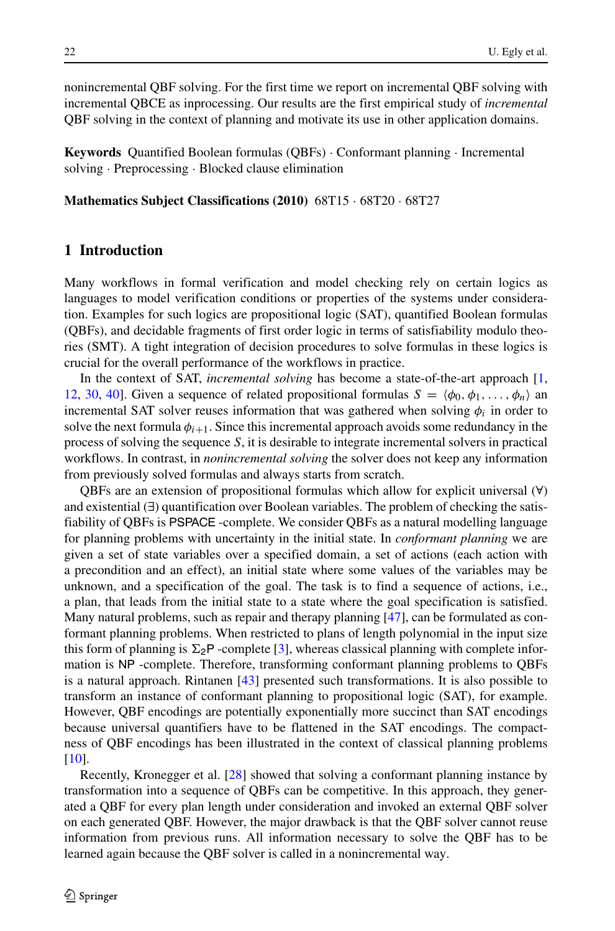nonincremental QBF solving. For the first time we report on incremental QBF solving with incremental QBCE as inprocessing. Our results are the first empirical study of *incremental* QBF solving in the context of planning and motivate its use in other application domains.

**Keywords** Quantified Boolean formulas (QBFs) · Conformant planning · Incremental solving · Preprocessing · Blocked clause elimination

#### **Mathematics Subject Classifications (2010)** 68T15 · 68T20 · 68T27

## **1 Introduction**

Many workflows in formal verification and model checking rely on certain logics as languages to model verification conditions or properties of the systems under consideration. Examples for such logics are propositional logic (SAT), quantified Boolean formulas (QBFs), and decidable fragments of first order logic in terms of satisfiability modulo theories (SMT). A tight integration of decision procedures to solve formulas in these logics is crucial for the overall performance of the workflows in practice.

In the context of SAT, *incremental solving* has become a state-of-the-art approach [\[1,](#page-22-0) [12,](#page-23-0) [30,](#page-23-1) [40\]](#page-23-2). Given a sequence of related propositional formulas  $S = \langle \phi_0, \phi_1, \dots, \phi_n \rangle$  and incremental SAT solver reuses information that was gathered when solving  $\phi_i$  in order to solve the next formula  $\phi_{i+1}$ . Since this incremental approach avoids some redundancy in the process of solving the sequence *S*, it is desirable to integrate incremental solvers in practical workflows. In contrast, in *nonincremental solving* the solver does not keep any information from previously solved formulas and always starts from scratch.

QBFs are an extension of propositional formulas which allow for explicit universal (∀) and existential (∃) quantification over Boolean variables. The problem of checking the satisfiability of QBFs is PSPACE -complete. We consider QBFs as a natural modelling language for planning problems with uncertainty in the initial state. In *conformant planning* we are given a set of state variables over a specified domain, a set of actions (each action with a precondition and an effect), an initial state where some values of the variables may be unknown, and a specification of the goal. The task is to find a sequence of actions, i.e., a plan, that leads from the initial state to a state where the goal specification is satisfied. Many natural problems, such as repair and therapy planning [\[47\]](#page-24-0), can be formulated as conformant planning problems. When restricted to plans of length polynomial in the input size this form of planning is  $\Sigma_2$ P -complete [\[3\]](#page-22-1), whereas classical planning with complete information is NP -complete. Therefore, transforming conformant planning problems to QBFs is a natural approach. Rintanen [\[43\]](#page-24-1) presented such transformations. It is also possible to transform an instance of conformant planning to propositional logic (SAT), for example. However, QBF encodings are potentially exponentially more succinct than SAT encodings because universal quantifiers have to be flattened in the SAT encodings. The compactness of QBF encodings has been illustrated in the context of classical planning problems [\[10\]](#page-22-2).

Recently, Kronegger et al. [\[28\]](#page-23-3) showed that solving a conformant planning instance by transformation into a sequence of QBFs can be competitive. In this approach, they generated a QBF for every plan length under consideration and invoked an external QBF solver on each generated QBF. However, the major drawback is that the QBF solver cannot reuse information from previous runs. All information necessary to solve the QBF has to be learned again because the QBF solver is called in a nonincremental way.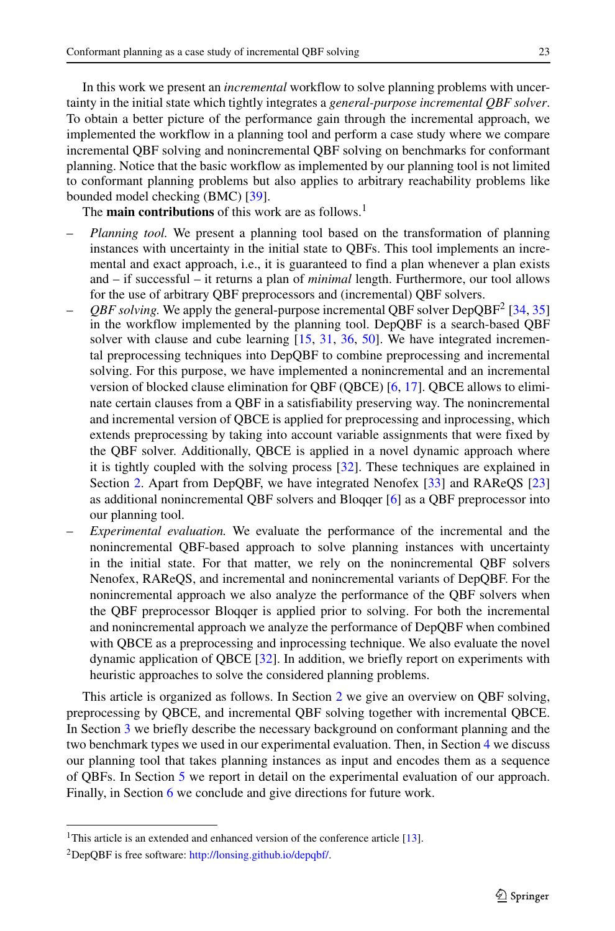In this work we present an *incremental* workflow to solve planning problems with uncertainty in the initial state which tightly integrates a *general-purpose incremental QBF solver*. To obtain a better picture of the performance gain through the incremental approach, we implemented the workflow in a planning tool and perform a case study where we compare incremental QBF solving and nonincremental QBF solving on benchmarks for conformant planning. Notice that the basic workflow as implemented by our planning tool is not limited to conformant planning problems but also applies to arbitrary reachability problems like bounded model checking (BMC) [\[39\]](#page-23-4).

The **main contributions** of this work are as follows.<sup>[1](#page-2-0)</sup>

- *Planning tool.* We present a planning tool based on the transformation of planning instances with uncertainty in the initial state to QBFs. This tool implements an incremental and exact approach, i.e., it is guaranteed to find a plan whenever a plan exists and – if successful – it returns a plan of *minimal* length. Furthermore, our tool allows for the use of arbitrary QBF preprocessors and (incremental) QBF solvers.
- $QBF$  *solving*. We apply the general-purpose incremental QBF solver DepQBF<sup>[2](#page-2-1)</sup> [\[34,](#page-23-5) [35\]](#page-23-6) in the workflow implemented by the planning tool. DepQBF is a search-based QBF solver with clause and cube learning [\[15,](#page-23-7) [31,](#page-23-8) [36,](#page-23-9) [50\]](#page-24-2). We have integrated incremental preprocessing techniques into DepQBF to combine preprocessing and incremental solving. For this purpose, we have implemented a nonincremental and an incremental version of blocked clause elimination for QBF (QBCE) [\[6,](#page-22-3) [17\]](#page-23-10). QBCE allows to eliminate certain clauses from a QBF in a satisfiability preserving way. The nonincremental and incremental version of QBCE is applied for preprocessing and inprocessing, which extends preprocessing by taking into account variable assignments that were fixed by the QBF solver. Additionally, QBCE is applied in a novel dynamic approach where it is tightly coupled with the solving process [\[32\]](#page-23-11). These techniques are explained in Section [2.](#page-3-0) Apart from DepQBF, we have integrated Nenofex [\[33\]](#page-23-12) and RAReQS [\[23\]](#page-23-13) as additional nonincremental QBF solvers and Bloqqer [\[6\]](#page-22-3) as a QBF preprocessor into our planning tool.
- *Experimental evaluation.* We evaluate the performance of the incremental and the nonincremental QBF-based approach to solve planning instances with uncertainty in the initial state. For that matter, we rely on the nonincremental QBF solvers Nenofex, RAReQS, and incremental and nonincremental variants of DepQBF. For the nonincremental approach we also analyze the performance of the QBF solvers when the QBF preprocessor Bloqqer is applied prior to solving. For both the incremental and nonincremental approach we analyze the performance of DepQBF when combined with QBCE as a preprocessing and inprocessing technique. We also evaluate the novel dynamic application of QBCE [\[32\]](#page-23-11). In addition, we briefly report on experiments with heuristic approaches to solve the considered planning problems.

This article is organized as follows. In Section [2](#page-3-0) we give an overview on QBF solving, preprocessing by QBCE, and incremental QBF solving together with incremental QBCE. In Section [3](#page-11-0) we briefly describe the necessary background on conformant planning and the two benchmark types we used in our experimental evaluation. Then, in Section [4](#page-12-0) we discuss our planning tool that takes planning instances as input and encodes them as a sequence of QBFs. In Section [5](#page-14-0) we report in detail on the experimental evaluation of our approach. Finally, in Section [6](#page-21-0) we conclude and give directions for future work.

<sup>&</sup>lt;sup>1</sup>This article is an extended and enhanced version of the conference article [\[13\]](#page-23-14).

<span id="page-2-1"></span><span id="page-2-0"></span><sup>2</sup>DepQBF is free software: [http://lonsing.github.io/depqbf/.](http://lonsing.github.io/depqbf/)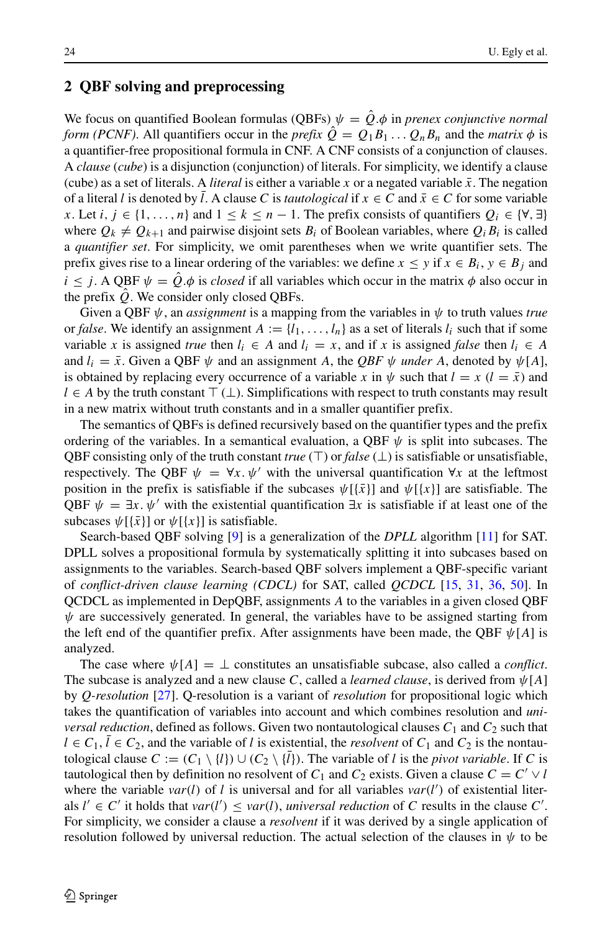## <span id="page-3-0"></span>**2 QBF solving and preprocessing**

We focus on quantified Boolean formulas (QBFs)  $\psi = Q \phi$  in *prenex conjunctive normal form (PCNF)*. All quantifiers occur in the *prefix*  $\hat{Q} = Q_1 B_1 \dots Q_n B_n$  and the *matrix*  $\phi$  is a quantifier-free propositional formula in CNF. A CNF consists of a conjunction of clauses. A *clause* (*cube*) is a disjunction (conjunction) of literals. For simplicity, we identify a clause (cube) as a set of literals. A *literal* is either a variable x or a negated variable  $\bar{x}$ . The negation of a literal *l* is denoted by *l*. A clause *C* is *tautological* if  $x \in C$  and  $\bar{x} \in C$  for some variable *x*. Let *i*,  $j \in \{1, ..., n\}$  and  $1 \leq k \leq n - 1$ . The prefix consists of quantifiers  $Q_i \in \{\forall, \exists\}$ where  $Q_k \neq Q_{k+1}$  and pairwise disjoint sets  $B_i$  of Boolean variables, where  $Q_i B_i$  is called a *quantifier set*. For simplicity, we omit parentheses when we write quantifier sets. The prefix gives rise to a linear ordering of the variables: we define  $x \leq y$  if  $x \in B_i$ ,  $y \in B_j$  and  $i \leq j$ . A QBF  $\psi = \hat{Q} \cdot \phi$  is *closed* if all variables which occur in the matrix  $\phi$  also occur in the prefix  $\ddot{Q}$ . We consider only closed QBFs.

Given a QBF *ψ*, an *assignment* is a mapping from the variables in *ψ* to truth values *true* or *false*. We identify an assignment  $A := \{l_1, \ldots, l_n\}$  as a set of literals  $l_i$  such that if some variable *x* is assigned *true* then  $l_i \in A$  and  $l_i = x$ , and if *x* is assigned *false* then  $l_i \in A$ and  $l_i = \bar{x}$ . Given a QBF  $\psi$  and an assignment *A*, the *QBF*  $\psi$  *under A*, denoted by  $\psi[A]$ , is obtained by replacing every occurrence of a variable *x* in  $\psi$  such that  $l = x$  ( $l = \bar{x}$ ) and *l* ∈ *A* by the truth constant  $\top$  ( $\bot$ ). Simplifications with respect to truth constants may result in a new matrix without truth constants and in a smaller quantifier prefix.

The semantics of QBFs is defined recursively based on the quantifier types and the prefix ordering of the variables. In a semantical evaluation, a QBF  $\psi$  is split into subcases. The QBF consisting only of the truth constant *true* ( $\top$ ) or *false* ( $\bot$ ) is satisfiable or unsatisfiable, respectively. The QBF  $\psi = \forall x \cdot \psi'$  with the universal quantification  $\forall x$  at the leftmost position in the prefix is satisfiable if the subcases  $\psi[\{\bar{x}\}]$  and  $\psi[\{x\}]$  are satisfiable. The QBF  $\psi = \exists x.\psi'$  with the existential quantification  $\exists x$  is satisfiable if at least one of the subcases  $\psi$ [{ $\bar{x}$ }] or  $\psi$ [{ $x$ }] is satisfiable.

Search-based QBF solving [\[9\]](#page-22-4) is a generalization of the *DPLL* algorithm [\[11\]](#page-22-5) for SAT. DPLL solves a propositional formula by systematically splitting it into subcases based on assignments to the variables. Search-based QBF solvers implement a QBF-specific variant of *conflict-driven clause learning (CDCL)* for SAT, called *QCDCL* [\[15,](#page-23-7) [31,](#page-23-8) [36,](#page-23-9) [50\]](#page-24-2). In QCDCL as implemented in DepQBF, assignments *A* to the variables in a given closed QBF  $\psi$  are successively generated. In general, the variables have to be assigned starting from the left end of the quantifier prefix. After assignments have been made, the QBF  $\psi[A]$  is analyzed.

The case where  $\psi[A] = \bot$  constitutes an unsatisfiable subcase, also called a *conflict*. The subcase is analyzed and a new clause *C*, called a *learned clause*, is derived from *ψ*[*A*] by *Q-resolution* [\[27\]](#page-23-15). Q-resolution is a variant of *resolution* for propositional logic which takes the quantification of variables into account and which combines resolution and *universal reduction*, defined as follows. Given two nontautological clauses  $C_1$  and  $C_2$  such that  $l \in C_1, l \in C_2$ , and the variable of *l* is existential, the *resolvent* of  $C_1$  and  $C_2$  is the nontautological clause  $C := (C_1 \setminus \{l\}) \cup (C_2 \setminus \{l\})$ . The variable of *l* is the *pivot variable*. If *C* is tautological then by definition no resolvent of  $C_1$  and  $C_2$  exists. Given a clause  $C = C' \vee l$ where the variable *var*(*l*) of *l* is universal and for all variables *var*(*l'*) of existential literals  $l' \in C'$  it holds that  $var(l') \leq var(l)$ , *universal reduction* of *C* results in the clause *C'*. For simplicity, we consider a clause a *resolvent* if it was derived by a single application of resolution followed by universal reduction. The actual selection of the clauses in  $\psi$  to be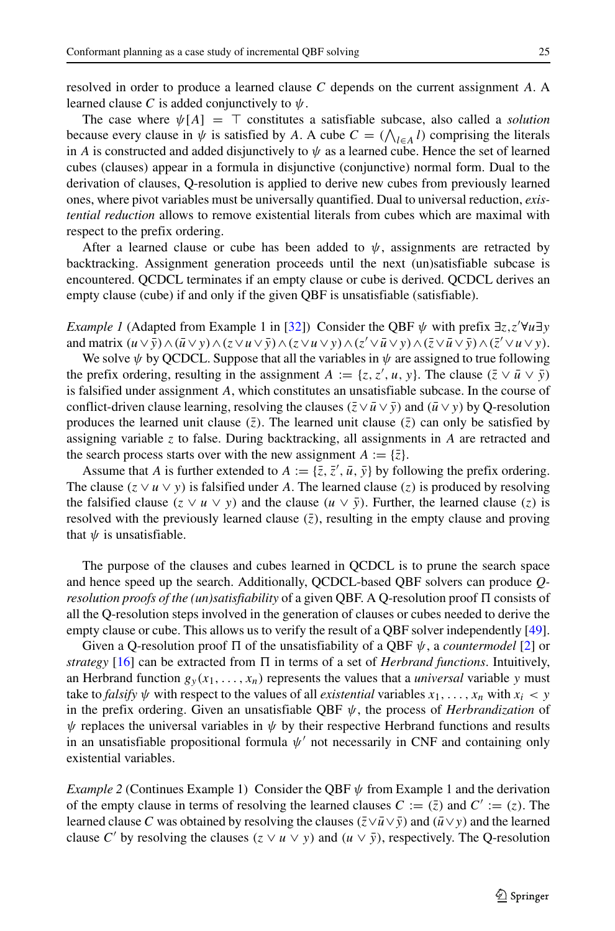resolved in order to produce a learned clause *C* depends on the current assignment *A*. A learned clause *C* is added conjunctively to  $\psi$ .

The case where  $\psi[A] = \top$  constitutes a satisfiable subcase, also called a *solution* because every clause in  $\psi$  is satisfied by *A*. A cube  $C = (\bigwedge_{l \in A} l)$  comprising the literals in *A* is constructed and added disjunctively to  $\psi$  as a learned cube. Hence the set of learned cubes (clauses) appear in a formula in disjunctive (conjunctive) normal form. Dual to the derivation of clauses, Q-resolution is applied to derive new cubes from previously learned ones, where pivot variables must be universally quantified. Dual to universal reduction, *existential reduction* allows to remove existential literals from cubes which are maximal with respect to the prefix ordering.

After a learned clause or cube has been added to  $\psi$ , assignments are retracted by backtracking. Assignment generation proceeds until the next (un)satisfiable subcase is encountered. QCDCL terminates if an empty clause or cube is derived. QCDCL derives an empty clause (cube) if and only if the given QBF is unsatisfiable (satisfiable).

*Example 1* (Adapted from Example 1 in [\[32\]](#page-23-11)) Consider the QBF *ψ* with prefix ∃*z,z* ∀*u*∃*y* and matrix  $(u \vee \bar{y}) \wedge (\bar{u} \vee y) \wedge (z \vee u \vee \bar{y}) \wedge (z \vee u \vee y) \wedge (z' \vee \bar{u} \vee y) \wedge (\bar{z} \vee \bar{u} \vee \bar{y}) \wedge (\bar{z}' \vee u \vee y)$ .

We solve  $\psi$  by QCDCL. Suppose that all the variables in  $\psi$  are assigned to true following the prefix ordering, resulting in the assignment  $A := \{z, z', u, y\}$ . The clause  $(\bar{z} \lor \bar{u} \lor \bar{y})$ is falsified under assignment *A*, which constitutes an unsatisfiable subcase. In the course of conflict-driven clause learning, resolving the clauses  $(\bar{z} \vee \bar{u} \vee \bar{y})$  and  $(\bar{u} \vee y)$  by Q-resolution produces the learned unit clause  $(\bar{z})$ . The learned unit clause  $(\bar{z})$  can only be satisfied by assigning variable *z* to false. During backtracking, all assignments in *A* are retracted and the search process starts over with the new assignment  $A := \{\bar{z}\}.$ 

Assume that *A* is further extended to  $A := \{\bar{z}, \bar{z}', \bar{u}, \bar{y}\}$  by following the prefix ordering. The clause  $(z \vee u \vee y)$  is falsified under A. The learned clause  $(z)$  is produced by resolving the falsified clause  $(z \vee u \vee y)$  and the clause  $(u \vee \overline{y})$ . Further, the learned clause  $(z)$  is resolved with the previously learned clause  $(\bar{z})$ , resulting in the empty clause and proving that  $\psi$  is unsatisfiable.

The purpose of the clauses and cubes learned in QCDCL is to prune the search space and hence speed up the search. Additionally, QCDCL-based QBF solvers can produce *Qresolution proofs of the (un)satisfiability* of a given QBF. A Q-resolution proof  $\Pi$  consists of all the Q-resolution steps involved in the generation of clauses or cubes needed to derive the empty clause or cube. This allows us to verify the result of a QBF solver independently [\[49\]](#page-24-3).

Given a Q-resolution proof  $\Pi$  of the unsatisfiability of a QBF  $\psi$ , a *countermodel* [\[2\]](#page-22-6) or *strategy* [\[16\]](#page-23-16) can be extracted from  $\Pi$  in terms of a set of *Herbrand functions*. Intuitively, an Herbrand function  $g_y(x_1, \ldots, x_n)$  represents the values that a *universal* variable *y* must take to *falsify*  $\psi$  with respect to the values of all *existential* variables  $x_1, \ldots, x_n$  with  $x_i < y$ in the prefix ordering. Given an unsatisfiable QBF *ψ*, the process of *Herbrandization* of  $\psi$  replaces the universal variables in  $\psi$  by their respective Herbrand functions and results in an unsatisfiable propositional formula  $\psi'$  not necessarily in CNF and containing only existential variables.

*Example 2* (Continues Example 1) Consider the QBF  $\psi$  from Example 1 and the derivation of the empty clause in terms of resolving the learned clauses  $C := (\bar{z})$  and  $C' := (z)$ . The learned clause *C* was obtained by resolving the clauses  $(\bar{z} \lor \bar{u} \lor \bar{y})$  and  $(\bar{u} \lor y)$  and the learned clause *C'* by resolving the clauses  $(z \lor u \lor y)$  and  $(u \lor \bar{y})$ , respectively. The Q-resolution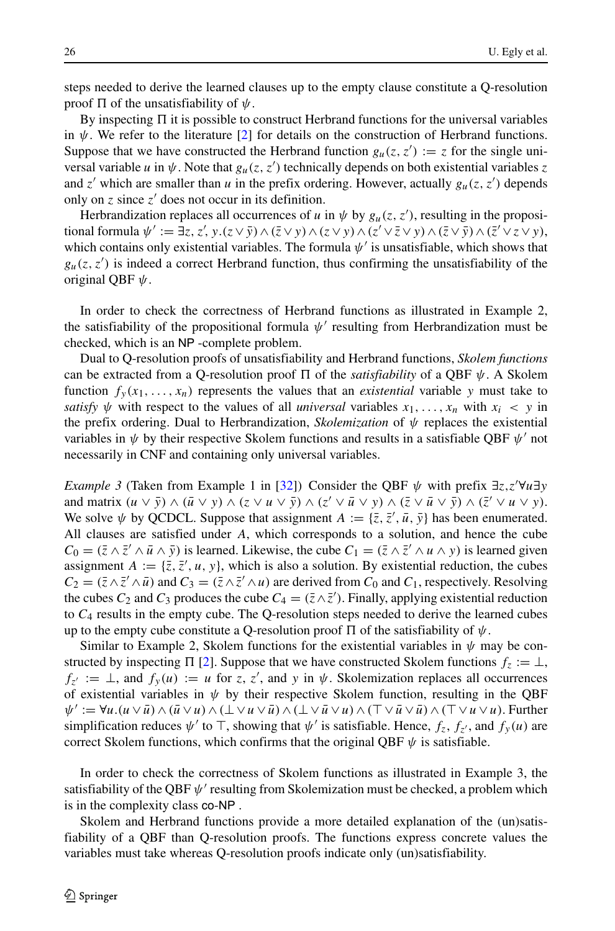steps needed to derive the learned clauses up to the empty clause constitute a Q-resolution proof  $\Pi$  of the unsatisfiability of  $ψ$ .

By inspecting  $\Pi$  it is possible to construct Herbrand functions for the universal variables in  $\psi$ . We refer to the literature [\[2\]](#page-22-6) for details on the construction of Herbrand functions. Suppose that we have constructed the Herbrand function  $g_u(z, z') := z$  for the single universal variable *u* in  $\psi$ . Note that  $g_u(z, z')$  technically depends on both existential variables *z* and  $z'$  which are smaller than *u* in the prefix ordering. However, actually  $g_u(z, z')$  depends only on  $z$  since  $z'$  does not occur in its definition.

Herbrandization replaces all occurrences of *u* in  $\psi$  by  $g_u(z, z')$ , resulting in the propositional formula  $\psi' := \exists z, z', y.(z \vee \bar{y}) \wedge (\bar{z} \vee y) \wedge (z \vee y) \wedge (\bar{z} \vee \bar{z} \vee y) \wedge (\bar{z} \vee \bar{y}) \wedge (\bar{z}' \vee z \vee y)$ , which contains only existential variables. The formula  $\psi'$  is unsatisfiable, which shows that  $g_u(z, z')$  is indeed a correct Herbrand function, thus confirming the unsatisfiability of the original QBF *ψ*.

In order to check the correctness of Herbrand functions as illustrated in Example 2, the satisfiability of the propositional formula  $\psi'$  resulting from Herbrandization must be checked, which is an NP -complete problem.

Dual to Q-resolution proofs of unsatisfiability and Herbrand functions, *Skolem functions* can be extracted from a Q-resolution proof  $\Pi$  of the *satisfiability* of a QBF  $\psi$ . A Skolem function  $f_y(x_1,...,x_n)$  represents the values that an *existential* variable *y* must take to *satisfy*  $\psi$  with respect to the values of all *universal* variables  $x_1, \ldots, x_n$  with  $x_i < y$  in the prefix ordering. Dual to Herbrandization, *Skolemization* of *ψ* replaces the existential variables in  $\psi$  by their respective Skolem functions and results in a satisfiable QBF  $\psi'$  not necessarily in CNF and containing only universal variables.

*Example 3* (Taken from Example 1 in [\[32\]](#page-23-11)) Consider the QBF *ψ* with prefix ∃*z,z* ∀*u*∃*y* and matrix  $(u \vee \overline{y}) \wedge (\overline{u} \vee y) \wedge (z \vee u \vee \overline{y}) \wedge (z' \vee \overline{u} \vee y) \wedge (\overline{z} \vee \overline{u} \vee \overline{y}) \wedge (\overline{z}' \vee u \vee y)$ . We solve  $\psi$  by QCDCL. Suppose that assignment  $A := \{\bar{z}, \bar{z}', \bar{u}, \bar{y}\}\$  has been enumerated. All clauses are satisfied under *A*, which corresponds to a solution, and hence the cube  $C_0 = (\bar{z} \wedge \bar{z}' \wedge \bar{u} \wedge \bar{y})$  is learned. Likewise, the cube  $C_1 = (\bar{z} \wedge \bar{z}' \wedge u \wedge y)$  is learned given assignment  $A := \{\bar{z}, \bar{z}', u, y\}$ , which is also a solution. By existential reduction, the cubes  $C_2 = (\bar{z} \wedge \bar{z}' \wedge \bar{u})$  and  $C_3 = (\bar{z} \wedge \bar{z}' \wedge u)$  are derived from  $C_0$  and  $C_1$ , respectively. Resolving the cubes  $C_2$  and  $C_3$  produces the cube  $C_4 = (\bar{z} \wedge \bar{z}')$ . Finally, applying existential reduction to *C*<sup>4</sup> results in the empty cube. The Q-resolution steps needed to derive the learned cubes up to the empty cube constitute a Q-resolution proof  $\Pi$  of the satisfiability of  $\psi$ .

Similar to Example 2, Skolem functions for the existential variables in  $\psi$  may be constructed by inspecting  $\Pi$  [\[2\]](#page-22-6). Suppose that we have constructed Skolem functions  $f_z := \bot$ , *f<sub>z'</sub>* := ⊥, and *f<sub>y</sub>*(*u*) := *u* for *z*, *z'*, and *y* in  $\psi$ . Skolemization replaces all occurrences of existential variables in  $\psi$  by their respective Skolem function, resulting in the QBF  $\psi' := \forall u . (u \vee \bar{u}) \wedge (\bar{u} \vee u) \wedge (\perp \vee u \vee \bar{u}) \wedge (\perp \vee \bar{u} \vee u) \wedge (\top \vee \bar{u} \vee \bar{u}) \wedge (\top \vee u \vee u)$ . Further simplification reduces  $\psi'$  to  $\top$ , showing that  $\psi'$  is satisfiable. Hence,  $f_z$ ,  $f_{z'}$ , and  $f_y(u)$  are correct Skolem functions, which confirms that the original QBF  $\psi$  is satisfiable.

In order to check the correctness of Skolem functions as illustrated in Example 3, the satisfiability of the QBF  $\psi'$  resulting from Skolemization must be checked, a problem which is in the complexity class co-NP .

Skolem and Herbrand functions provide a more detailed explanation of the (un)satisfiability of a QBF than Q-resolution proofs. The functions express concrete values the variables must take whereas Q-resolution proofs indicate only (un)satisfiability.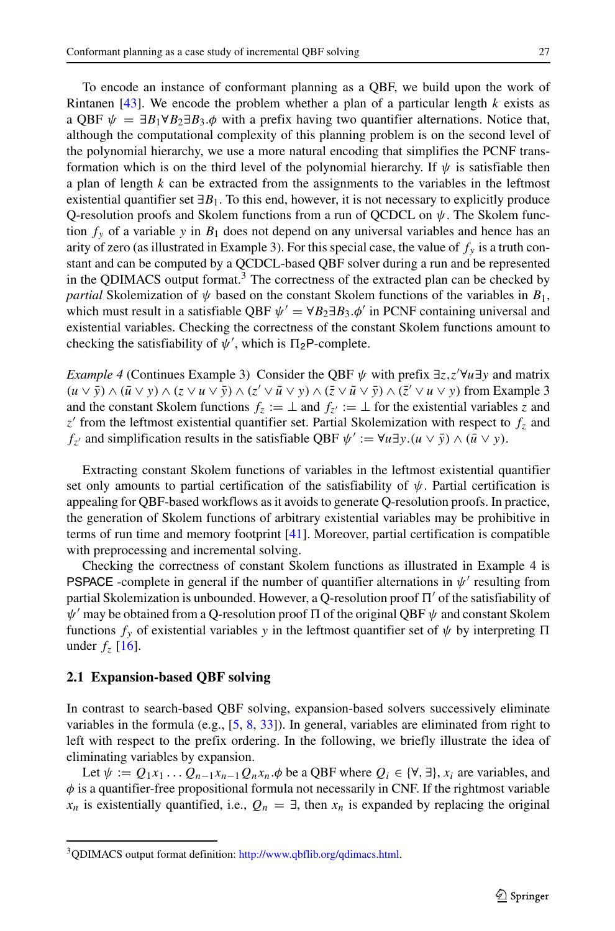To encode an instance of conformant planning as a QBF, we build upon the work of Rintanen [\[43\]](#page-24-1). We encode the problem whether a plan of a particular length *k* exists as a QBF  $\psi = \exists B_1 \forall B_2 \exists B_3 \phi$  with a prefix having two quantifier alternations. Notice that, although the computational complexity of this planning problem is on the second level of the polynomial hierarchy, we use a more natural encoding that simplifies the PCNF transformation which is on the third level of the polynomial hierarchy. If *ψ* is satisfiable then a plan of length *k* can be extracted from the assignments to the variables in the leftmost existential quantifier set  $\exists B_1$ . To this end, however, it is not necessary to explicitly produce Q-resolution proofs and Skolem functions from a run of QCDCL on *ψ*. The Skolem function  $f_y$  of a variable *y* in  $B_1$  does not depend on any universal variables and hence has an arity of zero (as illustrated in Example 3). For this special case, the value of  $f<sub>y</sub>$  is a truth constant and can be computed by a QCDCL-based QBF solver during a run and be represented in the QDIMACS output format.<sup>[3](#page-6-0)</sup> The correctness of the extracted plan can be checked by *partial* Skolemization of  $\psi$  based on the constant Skolem functions of the variables in  $B_1$ , which must result in a satisfiable QBF  $\psi' = \forall B_2 \exists B_3 \phi'$  in PCNF containing universal and existential variables. Checking the correctness of the constant Skolem functions amount to checking the satisfiability of  $\psi'$ , which is  $\Pi_2$ P-complete.

*Example 4* (Continues Example 3) Consider the QBF  $\psi$  with prefix  $\exists z, z' \forall u \exists y$  and matrix  $(u \vee \overline{y}) \wedge (\overline{u} \vee y) \wedge (z \vee u \vee \overline{y}) \wedge (z' \vee \overline{u} \vee y) \wedge (\overline{z} \vee \overline{u} \vee \overline{y}) \wedge (\overline{z}' \vee u \vee y)$  from Example 3 and the constant Skolem functions  $f_z := \perp$  and  $f_{z'} := \perp$  for the existential variables *z* and  $z'$  from the leftmost existential quantifier set. Partial Skolemization with respect to  $f<sub>z</sub>$  and *f<sub>z'</sub>* and simplification results in the satisfiable QBF  $\psi' := \forall u \exists y.(u \lor \bar{y}) \land (\bar{u} \lor y)$ .

Extracting constant Skolem functions of variables in the leftmost existential quantifier set only amounts to partial certification of the satisfiability of *ψ*. Partial certification is appealing for QBF-based workflows as it avoids to generate Q-resolution proofs. In practice, the generation of Skolem functions of arbitrary existential variables may be prohibitive in terms of run time and memory footprint [\[41\]](#page-23-17). Moreover, partial certification is compatible with preprocessing and incremental solving.

Checking the correctness of constant Skolem functions as illustrated in Example 4 is **PSPACE** -complete in general if the number of quantifier alternations in  $\psi'$  resulting from partial Skolemization is unbounded. However, a Q-resolution proof  $\Pi'$  of the satisfiability of  $\psi'$  may be obtained from a Q-resolution proof  $\Pi$  of the original QBF  $\psi$  and constant Skolem functions *fy* of existential variables *y* in the leftmost quantifier set of *ψ* by interpreting under  $f_z$  [\[16\]](#page-23-16).

### <span id="page-6-1"></span>**2.1 Expansion-based QBF solving**

In contrast to search-based QBF solving, expansion-based solvers successively eliminate variables in the formula (e.g., [\[5,](#page-22-7) [8,](#page-22-8) [33\]](#page-23-12)). In general, variables are eliminated from right to left with respect to the prefix ordering. In the following, we briefly illustrate the idea of eliminating variables by expansion.

Let  $\psi := Q_1 x_1 \dots Q_{n-1} x_{n-1} Q_n x_n$ ,  $\phi$  be a QBF where  $Q_i \in {\forall, \exists}$ ,  $x_i$  are variables, and *φ* is a quantifier-free propositional formula not necessarily in CNF. If the rightmost variable  $x_n$  is existentially quantified, i.e.,  $Q_n = \exists$ , then  $x_n$  is expanded by replacing the original

<span id="page-6-0"></span><sup>&</sup>lt;sup>3</sup>QDIMACS output format definition: [http://www.qbflib.org/qdimacs.html.](http://www.qbflib.org/qdimacs.html)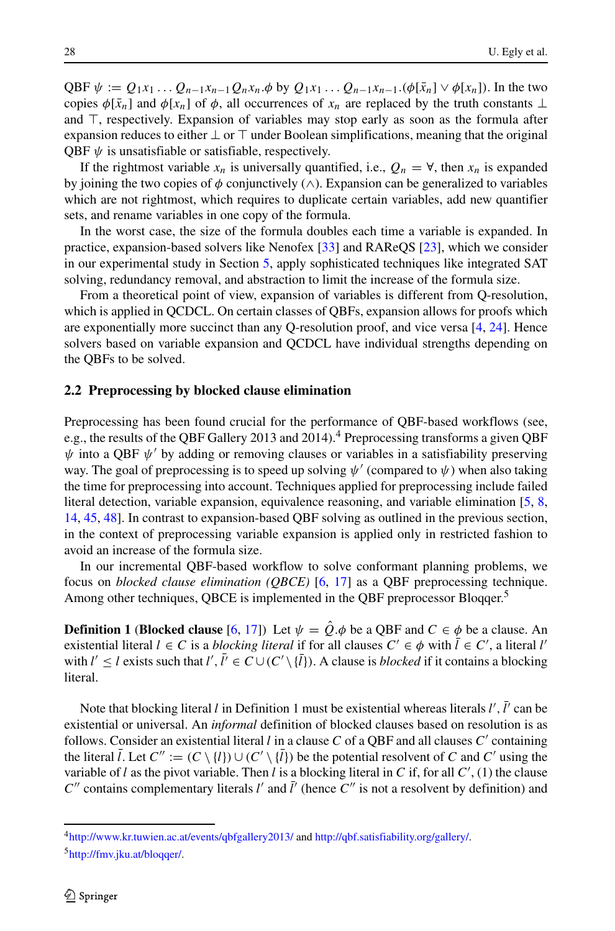$QBF \psi := Q_1 x_1 \dots Q_{n-1} x_{n-1} Q_n x_n \phi$  by  $Q_1 x_1 \dots Q_{n-1} x_{n-1} \phi[\bar{x}_n] \vee \phi[x_n]$ ). In the two copies  $\phi[\bar{x}_n]$  and  $\phi[x_n]$  of  $\phi$ , all occurrences of  $x_n$  are replaced by the truth constants ⊥ and  $\top$ , respectively. Expansion of variables may stop early as soon as the formula after expansion reduces to either  $\perp$  or  $\top$  under Boolean simplifications, meaning that the original QBF  $\psi$  is unsatisfiable or satisfiable, respectively.

If the rightmost variable  $x_n$  is universally quantified, i.e.,  $Q_n = \forall$ , then  $x_n$  is expanded by joining the two copies of  $\phi$  conjunctively ( $\wedge$ ). Expansion can be generalized to variables which are not rightmost, which requires to duplicate certain variables, add new quantifier sets, and rename variables in one copy of the formula.

In the worst case, the size of the formula doubles each time a variable is expanded. In practice, expansion-based solvers like Nenofex [\[33\]](#page-23-12) and RAReQS [\[23\]](#page-23-13), which we consider in our experimental study in Section [5,](#page-14-0) apply sophisticated techniques like integrated SAT solving, redundancy removal, and abstraction to limit the increase of the formula size.

From a theoretical point of view, expansion of variables is different from Q-resolution, which is applied in QCDCL. On certain classes of QBFs, expansion allows for proofs which are exponentially more succinct than any Q-resolution proof, and vice versa [\[4,](#page-22-9) [24\]](#page-23-18). Hence solvers based on variable expansion and QCDCL have individual strengths depending on the QBFs to be solved.

### **2.2 Preprocessing by blocked clause elimination**

Preprocessing has been found crucial for the performance of QBF-based workflows (see, e.g., the results of the QBF Gallery 2013 and 2014).[4](#page-7-0) Preprocessing transforms a given QBF  $\psi$  into a QBF  $\psi'$  by adding or removing clauses or variables in a satisfiability preserving way. The goal of preprocessing is to speed up solving *ψ* (compared to *ψ*) when also taking the time for preprocessing into account. Techniques applied for preprocessing include failed literal detection, variable expansion, equivalence reasoning, and variable elimination [\[5,](#page-22-7) [8,](#page-22-8) [14,](#page-23-19) [45,](#page-24-4) [48\]](#page-24-5). In contrast to expansion-based QBF solving as outlined in the previous section, in the context of preprocessing variable expansion is applied only in restricted fashion to avoid an increase of the formula size.

In our incremental QBF-based workflow to solve conformant planning problems, we focus on *blocked clause elimination (QBCE)* [\[6,](#page-22-3) [17\]](#page-23-10) as a QBF preprocessing technique. Among other techniques, QBCE is implemented in the QBF preprocessor Bloqqer.<sup>[5](#page-7-1)</sup>

**Definition 1** (**Blocked clause** [\[6,](#page-22-3) [17\]](#page-23-10)) Let  $\psi = \hat{Q} \cdot \phi$  be a QBF and  $C \in \phi$  be a clause. An existential literal  $l \in C$  is a *blocking literal* if for all clauses  $C' \in \phi$  with  $l \in C'$ , a literal *l'* with  $l' \leq l$  exists such that  $l', l' \in C \cup (C' \setminus \{l\})$ . A clause is *blocked* if it contains a blocking literal.

Note that blocking literal *l* in Definition 1 must be existential whereas literals *l'*, *l'* can be existential or universal. An *informal* definition of blocked clauses based on resolution is as follows. Consider an existential literal  $l$  in a clause  $C$  of a QBF and all clauses  $C'$  containing the literal  $\overline{l}$ . Let  $C'' := (C \setminus \{l\}) \cup (C' \setminus \{l\})$  be the potential resolvent of *C* and *C'* using the variable of *l* as the pivot variable. Then *l* is a blocking literal in *C* if, for all *C* , (1) the clause  $C''$  contains complementary literals *l'* and *l'* (hence  $C''$  is not a resolvent by definition) and

<span id="page-7-1"></span><span id="page-7-0"></span>[<sup>4</sup>http://www.kr.tuwien.ac.at/events/qbfgallery2013/](http://www.kr.tuwien.ac.at/events/qbfgallery2013/) and [http://qbf.satisfiability.org/gallery/.](http://qbf.satisfiability.org/gallery/) [5http://fmv.jku.at/bloqqer/.](http://fmv.jku.at/bloqqer/)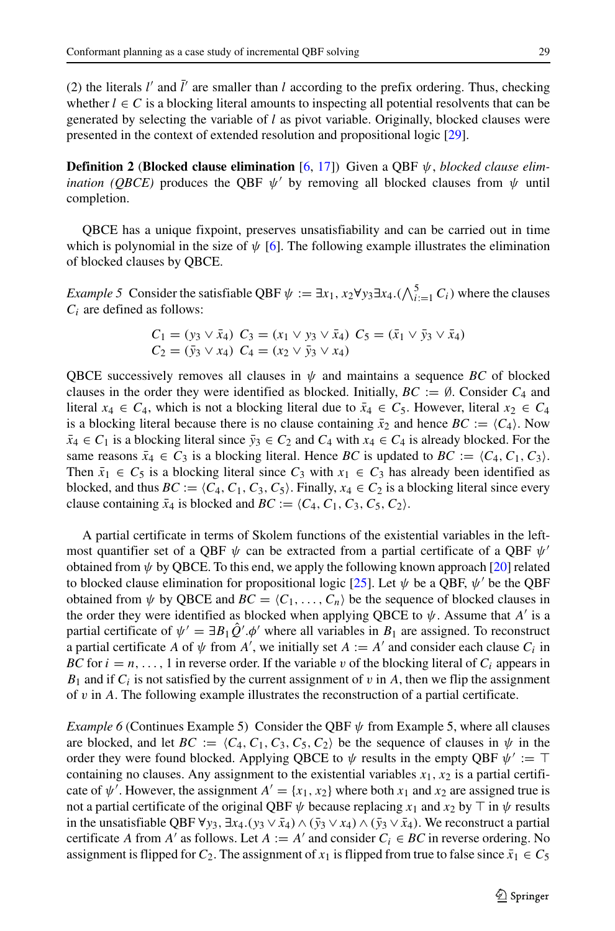$(2)$  the literals *l'* and *l'* are smaller than *l* according to the prefix ordering. Thus, checking whether  $l \in C$  is a blocking literal amounts to inspecting all potential resolvents that can be generated by selecting the variable of *l* as pivot variable. Originally, blocked clauses were presented in the context of extended resolution and propositional logic [\[29\]](#page-23-20).

**Definition 2** (**Blocked clause elimination** [\[6,](#page-22-3) [17\]](#page-23-10)) Given a QBF *ψ*, *blocked clause elimination (QBCE)* produces the QBF  $\psi'$  by removing all blocked clauses from  $\psi$  until completion.

QBCE has a unique fixpoint, preserves unsatisfiability and can be carried out in time which is polynomial in the size of  $\psi$  [\[6\]](#page-22-3). The following example illustrates the elimination of blocked clauses by QBCE.

*Example 5* Consider the satisfiable QBF  $\psi := \exists x_1, x_2 \forall y_3 \exists x_4. (\bigwedge_{i=1}^5 C_i)$  where the clauses *Ci* are defined as follows:

$$
C_1 = (y_3 \vee \bar{x}_4) \ C_3 = (x_1 \vee y_3 \vee \bar{x}_4) \ C_5 = (\bar{x}_1 \vee \bar{y}_3 \vee \bar{x}_4) C_2 = (\bar{y}_3 \vee x_4) \ C_4 = (x_2 \vee \bar{y}_3 \vee x_4)
$$

QBCE successively removes all clauses in  $\psi$  and maintains a sequence *BC* of blocked clauses in the order they were identified as blocked. Initially,  $BC := \emptyset$ . Consider  $C_4$  and literal  $x_4 \in C_4$ , which is not a blocking literal due to  $\bar{x}_4 \in C_5$ . However, literal  $x_2 \in C_4$ is a blocking literal because there is no clause containing  $\bar{x}_2$  and hence  $BC := (C_4)$ . Now  $\bar{x}_4 \in C_1$  is a blocking literal since  $\bar{y}_3 \in C_2$  and  $C_4$  with  $x_4 \in C_4$  is already blocked. For the same reasons  $\bar{x}_4 \in C_3$  is a blocking literal. Hence *BC* is updated to  $BC := (C_4, C_1, C_3)$ . Then  $\bar{x}_1 \in C_5$  is a blocking literal since  $C_3$  with  $x_1 \in C_3$  has already been identified as blocked, and thus  $BC := (C_4, C_1, C_3, C_5)$ . Finally,  $x_4 \in C_2$  is a blocking literal since every clause containing  $\bar{x}_4$  is blocked and  $BC := (C_4, C_1, C_3, C_5, C_2)$ .

A partial certificate in terms of Skolem functions of the existential variables in the leftmost quantifier set of a QBF *ψ* can be extracted from a partial certificate of a QBF *ψ* obtained from  $\psi$  by QBCE. To this end, we apply the following known approach [\[20\]](#page-23-21) related to blocked clause elimination for propositional logic [\[25\]](#page-23-22). Let  $\psi$  be a QBF,  $\psi'$  be the QBF obtained from  $\psi$  by QBCE and  $BC = \langle C_1, \ldots, C_n \rangle$  be the sequence of blocked clauses in the order they were identified as blocked when applying QBCE to  $\psi$ . Assume that *A'* is a partial certificate of  $\psi' = \exists B_1 Q'.\phi'$  where all variables in  $B_1$  are assigned. To reconstruct a partial certificate *A* of  $\psi$  from *A*<sup>'</sup>, we initially set *A* := *A*<sup>'</sup> and consider each clause *C<sub>i</sub>* in *BC* for  $i = n, \ldots, 1$  in reverse order. If the variable *v* of the blocking literal of  $C_i$  appears in  $B_1$  and if  $C_i$  is not satisfied by the current assignment of  $v$  in  $A$ , then we flip the assignment of *v* in *A*. The following example illustrates the reconstruction of a partial certificate.

*Example 6* (Continues Example 5) Consider the QBF  $\psi$  from Example 5, where all clauses are blocked, and let  $BC := \langle C_4, C_1, C_3, C_5, C_2 \rangle$  be the sequence of clauses in  $\psi$  in the order they were found blocked. Applying QBCE to  $\psi$  results in the empty QBF  $\psi' := \top$ containing no clauses. Any assignment to the existential variables  $x_1, x_2$  is a partial certificate of  $\psi'$ . However, the assignment  $A' = \{x_1, x_2\}$  where both  $x_1$  and  $x_2$  are assigned true is not a partial certificate of the original QBF  $\psi$  because replacing  $x_1$  and  $x_2$  by  $\top$  in  $\psi$  results in the unsatisfiable QBF  $\forall y_3, \exists x_4. (y_3 \lor \bar{x}_4) \land (\bar{y}_3 \lor x_4) \land (\bar{y}_3 \lor \bar{x}_4)$ . We reconstruct a partial certificate *A* from *A'* as follows. Let  $A := A'$  and consider  $C_i \in BC$  in reverse ordering. No assignment is flipped for  $C_2$ . The assignment of  $x_1$  is flipped from true to false since  $\bar{x}_1 \in C_5$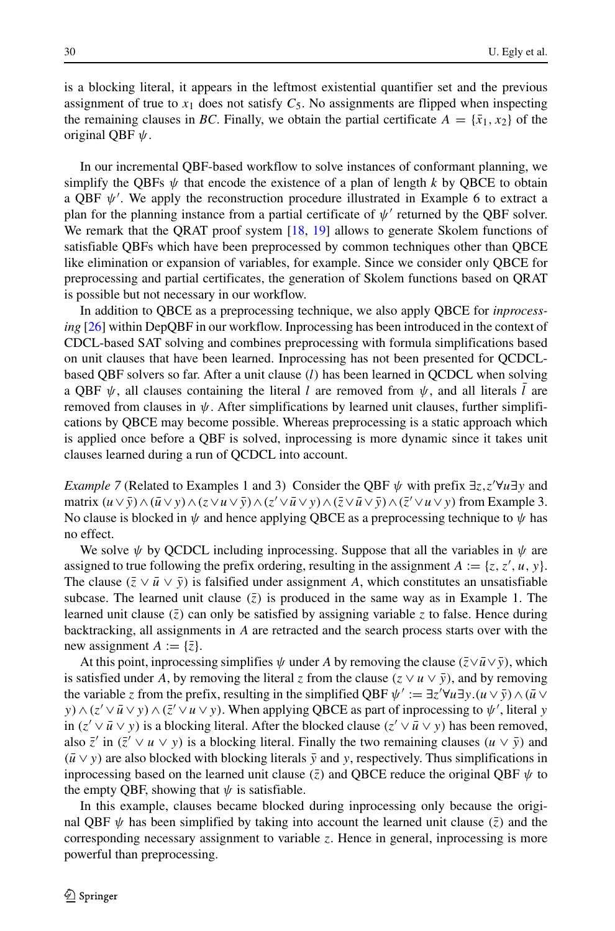is a blocking literal, it appears in the leftmost existential quantifier set and the previous assignment of true to  $x_1$  does not satisfy  $C_5$ . No assignments are flipped when inspecting the remaining clauses in *BC*. Finally, we obtain the partial certificate  $A = \{\bar{x}_1, x_2\}$  of the original QBF *ψ*.

In our incremental QBF-based workflow to solve instances of conformant planning, we simplify the QBFs  $\psi$  that encode the existence of a plan of length k by QBCE to obtain a QBF  $\psi'$ . We apply the reconstruction procedure illustrated in Example 6 to extract a plan for the planning instance from a partial certificate of  $\psi'$  returned by the QBF solver. We remark that the QRAT proof system [\[18,](#page-23-23) [19\]](#page-23-24) allows to generate Skolem functions of satisfiable QBFs which have been preprocessed by common techniques other than QBCE like elimination or expansion of variables, for example. Since we consider only QBCE for preprocessing and partial certificates, the generation of Skolem functions based on QRAT is possible but not necessary in our workflow.

In addition to QBCE as a preprocessing technique, we also apply QBCE for *inprocessing* [\[26\]](#page-23-25) within DepQBF in our workflow. Inprocessing has been introduced in the context of CDCL-based SAT solving and combines preprocessing with formula simplifications based on unit clauses that have been learned. Inprocessing has not been presented for QCDCLbased QBF solvers so far. After a unit clause *(l)* has been learned in QCDCL when solving a QBF  $\psi$ , all clauses containing the literal *l* are removed from  $\psi$ , and all literals *l* are removed from clauses in  $\psi$ . After simplifications by learned unit clauses, further simplifications by QBCE may become possible. Whereas preprocessing is a static approach which is applied once before a QBF is solved, inprocessing is more dynamic since it takes unit clauses learned during a run of QCDCL into account.

*Example 7* (Related to Examples 1 and 3) Consider the QBF *ψ* with prefix ∃*z,z* ∀*u*∃*y* and  $\text{matrix } (u \vee \bar{y}) \wedge (\bar{u} \vee y) \wedge (z \vee u \vee \bar{y}) \wedge (z' \vee \bar{u} \vee y) \wedge (\bar{z} \vee \bar{u} \vee \bar{y}) \wedge (\bar{z}' \vee u \vee y) \text{ from Example 3.}$ No clause is blocked in  $\psi$  and hence applying QBCE as a preprocessing technique to  $\psi$  has no effect.

We solve  $\psi$  by QCDCL including inprocessing. Suppose that all the variables in  $\psi$  are assigned to true following the prefix ordering, resulting in the assignment  $A := \{z, z', u, y\}$ . The clause  $(\bar{z} \vee \bar{u} \vee \bar{y})$  is falsified under assignment *A*, which constitutes an unsatisfiable subcase. The learned unit clause  $(\bar{z})$  is produced in the same way as in Example 1. The learned unit clause  $(\bar{z})$  can only be satisfied by assigning variable *z* to false. Hence during backtracking, all assignments in *A* are retracted and the search process starts over with the new assignment  $A := \{\bar{z}\}.$ 

At this point, inprocessing simplifies  $\psi$  under *A* by removing the clause  $(\bar{z} \vee \bar{u} \vee \bar{y})$ , which is satisfied under *A*, by removing the literal *z* from the clause  $(z \vee u \vee \overline{y})$ , and by removing the variable *z* from the prefix, resulting in the simplified QBF  $\psi' := \exists z' \forall u \exists y . (u \vee \bar{y}) \wedge (\bar{u} \vee \bar{y})$  $y) \wedge (z' \vee \bar{u} \vee y) \wedge (\bar{z}' \vee u \vee y)$ . When applying QBCE as part of inprocessing to  $\psi'$ , literal *y* in  $(z' \vee \bar{u} \vee y)$  is a blocking literal. After the blocked clause  $(z' \vee \bar{u} \vee y)$  has been removed, also  $\bar{z}'$  in  $(\bar{z}' \lor u \lor y)$  is a blocking literal. Finally the two remaining clauses  $(u \lor \bar{y})$  and  $(\bar{u} \vee y)$  are also blocked with blocking literals  $\bar{y}$  and *y*, respectively. Thus simplifications in inprocessing based on the learned unit clause  $(\bar{z})$  and QBCE reduce the original QBF  $\psi$  to the empty QBF, showing that  $\psi$  is satisfiable.

In this example, clauses became blocked during inprocessing only because the original QBF  $\psi$  has been simplified by taking into account the learned unit clause ( $\bar{z}$ ) and the corresponding necessary assignment to variable *z*. Hence in general, inprocessing is more powerful than preprocessing.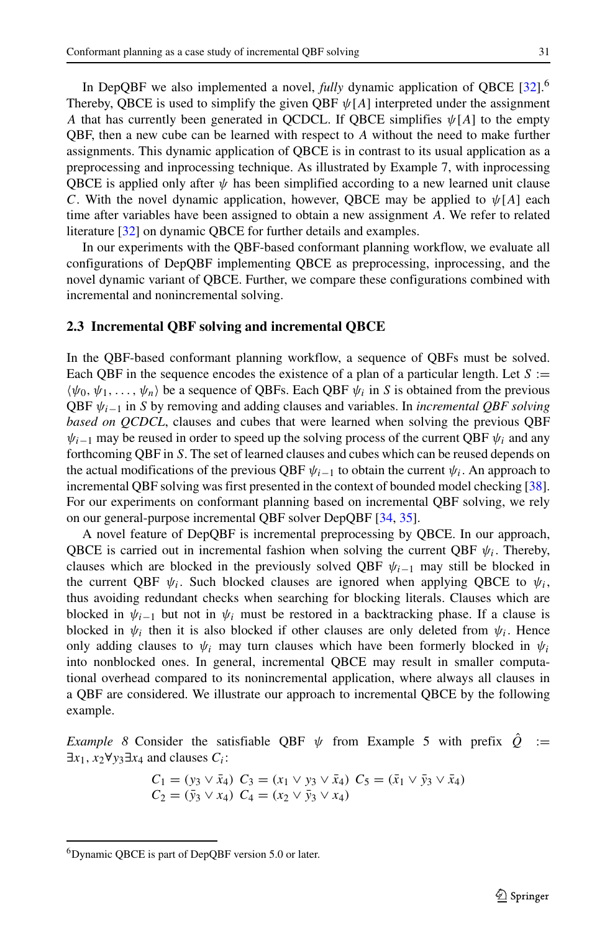In DepQBF we also implemented a novel, *fully* dynamic application of QBCE [\[32\]](#page-23-11).[6](#page-10-0) Thereby, QBCE is used to simplify the given QBF *ψ*[*A*] interpreted under the assignment *A* that has currently been generated in QCDCL. If QBCE simplifies  $\psi[A]$  to the empty QBF, then a new cube can be learned with respect to *A* without the need to make further assignments. This dynamic application of QBCE is in contrast to its usual application as a preprocessing and inprocessing technique. As illustrated by Example 7, with inprocessing QBCE is applied only after  $\psi$  has been simplified according to a new learned unit clause *C*. With the novel dynamic application, however, QBCE may be applied to  $\psi[A]$  each time after variables have been assigned to obtain a new assignment *A*. We refer to related literature [\[32\]](#page-23-11) on dynamic QBCE for further details and examples.

In our experiments with the QBF-based conformant planning workflow, we evaluate all configurations of DepQBF implementing QBCE as preprocessing, inprocessing, and the novel dynamic variant of QBCE. Further, we compare these configurations combined with incremental and nonincremental solving.

#### **2.3 Incremental QBF solving and incremental QBCE**

In the QBF-based conformant planning workflow, a sequence of QBFs must be solved. Each QBF in the sequence encodes the existence of a plan of a particular length. Let  $S :=$  $\langle \psi_0, \psi_1, \dots, \psi_n \rangle$  be a sequence of QBFs. Each QBF  $\psi_i$  in *S* is obtained from the previous QBF *ψi*−<sup>1</sup> in *S* by removing and adding clauses and variables. In *incremental QBF solving based on QCDCL*, clauses and cubes that were learned when solving the previous QBF  $\psi_{i-1}$  may be reused in order to speed up the solving process of the current QBF  $\psi_i$  and any forthcoming QBF in *S*. The set of learned clauses and cubes which can be reused depends on the actual modifications of the previous QBF  $\psi_{i-1}$  to obtain the current  $\psi_i$ . An approach to incremental QBF solving was first presented in the context of bounded model checking [\[38\]](#page-23-26). For our experiments on conformant planning based on incremental QBF solving, we rely on our general-purpose incremental QBF solver DepQBF [\[34,](#page-23-5) [35\]](#page-23-6).

A novel feature of DepQBF is incremental preprocessing by QBCE. In our approach, QBCE is carried out in incremental fashion when solving the current QBF  $\psi_i$ . Thereby, clauses which are blocked in the previously solved QBF  $\psi_{i-1}$  may still be blocked in the current QBF  $\psi_i$ . Such blocked clauses are ignored when applying QBCE to  $\psi_i$ , thus avoiding redundant checks when searching for blocking literals. Clauses which are blocked in  $\psi_{i-1}$  but not in  $\psi_i$  must be restored in a backtracking phase. If a clause is blocked in  $\psi_i$  then it is also blocked if other clauses are only deleted from  $\psi_i$ . Hence only adding clauses to  $\psi_i$  may turn clauses which have been formerly blocked in  $\psi_i$ into nonblocked ones. In general, incremental QBCE may result in smaller computational overhead compared to its nonincremental application, where always all clauses in a QBF are considered. We illustrate our approach to incremental QBCE by the following example.

*Example 8* Consider the satisfiable QBF  $\psi$  from Example 5 with prefix  $\dot{Q}$  := ∃*x*1*, x*2∀*y*3∃*x*<sup>4</sup> and clauses *Ci*:

$$
C_1 = (y_3 \vee \bar{x}_4) C_3 = (x_1 \vee y_3 \vee \bar{x}_4) C_5 = (\bar{x}_1 \vee \bar{y}_3 \vee \bar{x}_4) C_2 = (\bar{y}_3 \vee x_4) C_4 = (x_2 \vee \bar{y}_3 \vee x_4)
$$

<span id="page-10-0"></span><sup>&</sup>lt;sup>6</sup>Dynamic QBCE is part of DepQBF version 5.0 or later.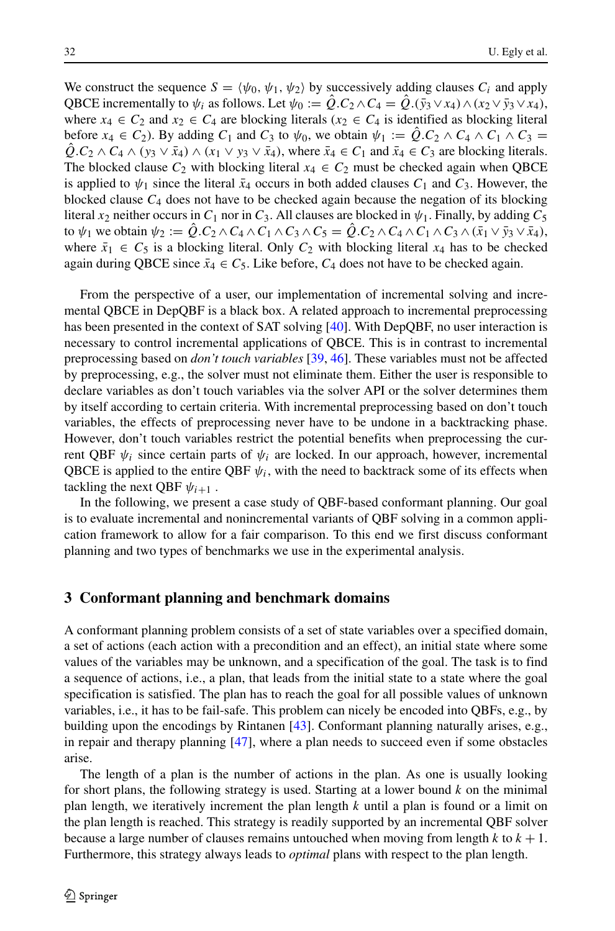We construct the sequence  $S = \langle \psi_0, \psi_1, \psi_2 \rangle$  by successively adding clauses  $C_i$  and apply QBCE incrementally to  $\psi_i$  as follows. Let  $\psi_0 := \hat{Q} \cdot C_2 \wedge C_4 = \hat{Q} \cdot (\bar{y}_3 \vee x_4) \wedge (x_2 \vee \bar{y}_3 \vee x_4)$ , where  $x_4 \in C_2$  and  $x_2 \in C_4$  are blocking literals ( $x_2 \in C_4$  is identified as blocking literal before  $x_4 \in C_2$ ). By adding  $C_1$  and  $C_3$  to  $\psi_0$ , we obtain  $\psi_1 := \hat{Q} \cdot C_2 \wedge C_4 \wedge C_1 \wedge C_3 =$  $\hat{Q}.C_2 \wedge C_4 \wedge (y_3 \vee \bar{x}_4) \wedge (x_1 \vee y_3 \vee \bar{x}_4)$ , where  $\bar{x}_4 \in C_1$  and  $\bar{x}_4 \in C_3$  are blocking literals. The blocked clause  $C_2$  with blocking literal  $x_4 \in C_2$  must be checked again when QBCE is applied to  $\psi_1$  since the literal  $\bar{x}_4$  occurs in both added clauses  $C_1$  and  $C_3$ . However, the blocked clause *C*<sup>4</sup> does not have to be checked again because the negation of its blocking literal  $x_2$  neither occurs in  $C_1$  nor in  $C_3$ . All clauses are blocked in  $\psi_1$ . Finally, by adding  $C_5$ to  $\psi_1$  we obtain  $\psi_2 := \hat{Q} \cdot C_2 \wedge C_4 \wedge C_1 \wedge C_3 \wedge C_5 = \hat{Q} \cdot C_2 \wedge C_4 \wedge C_1 \wedge C_3 \wedge (\bar{x}_1 \vee \bar{y}_3 \vee \bar{x}_4),$ where  $\bar{x}_1 \in C_5$  is a blocking literal. Only  $C_2$  with blocking literal  $x_4$  has to be checked again during QBCE since  $\bar{x}_4 \in C_5$ . Like before,  $C_4$  does not have to be checked again.

From the perspective of a user, our implementation of incremental solving and incremental QBCE in DepQBF is a black box. A related approach to incremental preprocessing has been presented in the context of SAT solving [\[40\]](#page-23-2). With DepQBF, no user interaction is necessary to control incremental applications of QBCE. This is in contrast to incremental preprocessing based on *don't touch variables* [\[39,](#page-23-4) [46\]](#page-24-6). These variables must not be affected by preprocessing, e.g., the solver must not eliminate them. Either the user is responsible to declare variables as don't touch variables via the solver API or the solver determines them by itself according to certain criteria. With incremental preprocessing based on don't touch variables, the effects of preprocessing never have to be undone in a backtracking phase. However, don't touch variables restrict the potential benefits when preprocessing the current QBF  $\psi_i$  since certain parts of  $\psi_i$  are locked. In our approach, however, incremental QBCE is applied to the entire QBF  $\psi_i$ , with the need to backtrack some of its effects when tackling the next QBF  $\psi_{i+1}$ .

In the following, we present a case study of QBF-based conformant planning. Our goal is to evaluate incremental and nonincremental variants of QBF solving in a common application framework to allow for a fair comparison. To this end we first discuss conformant planning and two types of benchmarks we use in the experimental analysis.

#### <span id="page-11-0"></span>**3 Conformant planning and benchmark domains**

A conformant planning problem consists of a set of state variables over a specified domain, a set of actions (each action with a precondition and an effect), an initial state where some values of the variables may be unknown, and a specification of the goal. The task is to find a sequence of actions, i.e., a plan, that leads from the initial state to a state where the goal specification is satisfied. The plan has to reach the goal for all possible values of unknown variables, i.e., it has to be fail-safe. This problem can nicely be encoded into QBFs, e.g., by building upon the encodings by Rintanen [\[43\]](#page-24-1). Conformant planning naturally arises, e.g., in repair and therapy planning [\[47\]](#page-24-0), where a plan needs to succeed even if some obstacles arise.

The length of a plan is the number of actions in the plan. As one is usually looking for short plans, the following strategy is used. Starting at a lower bound *k* on the minimal plan length, we iteratively increment the plan length *k* until a plan is found or a limit on the plan length is reached. This strategy is readily supported by an incremental QBF solver because a large number of clauses remains untouched when moving from length *k* to *k* + 1. Furthermore, this strategy always leads to *optimal* plans with respect to the plan length.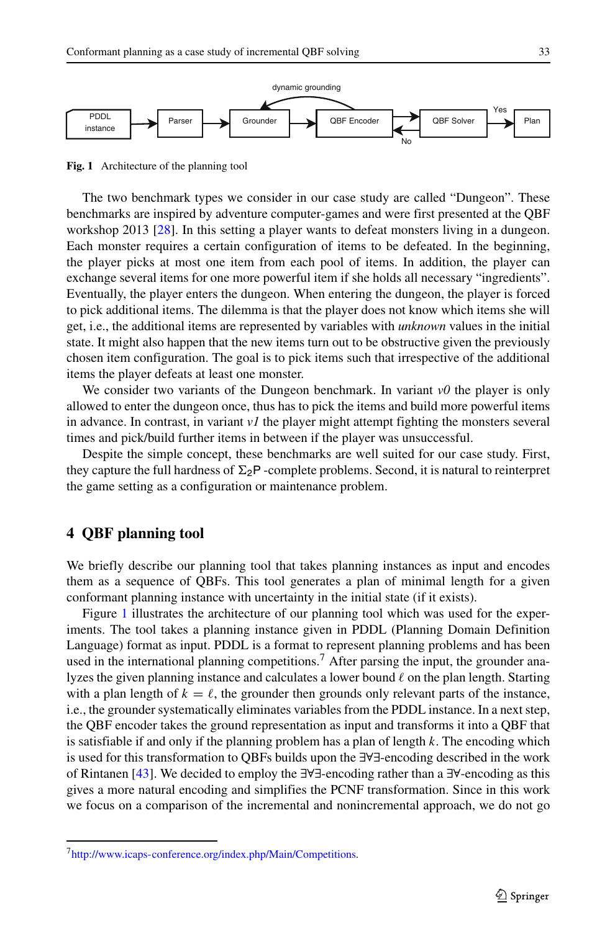<span id="page-12-1"></span>

**Fig. 1** Architecture of the planning tool

The two benchmark types we consider in our case study are called "Dungeon". These benchmarks are inspired by adventure computer-games and were first presented at the QBF workshop 2013 [\[28\]](#page-23-3). In this setting a player wants to defeat monsters living in a dungeon. Each monster requires a certain configuration of items to be defeated. In the beginning, the player picks at most one item from each pool of items. In addition, the player can exchange several items for one more powerful item if she holds all necessary "ingredients". Eventually, the player enters the dungeon. When entering the dungeon, the player is forced to pick additional items. The dilemma is that the player does not know which items she will get, i.e., the additional items are represented by variables with *unknown* values in the initial state. It might also happen that the new items turn out to be obstructive given the previously chosen item configuration. The goal is to pick items such that irrespective of the additional items the player defeats at least one monster.

We consider two variants of the Dungeon benchmark. In variant *v0* the player is only allowed to enter the dungeon once, thus has to pick the items and build more powerful items in advance. In contrast, in variant *v1* the player might attempt fighting the monsters several times and pick/build further items in between if the player was unsuccessful.

Despite the simple concept, these benchmarks are well suited for our case study. First, they capture the full hardness of  $\Sigma_2$ P -complete problems. Second, it is natural to reinterpret the game setting as a configuration or maintenance problem.

## <span id="page-12-0"></span>**4 QBF planning tool**

We briefly describe our planning tool that takes planning instances as input and encodes them as a sequence of QBFs. This tool generates a plan of minimal length for a given conformant planning instance with uncertainty in the initial state (if it exists).

Figure [1](#page-12-1) illustrates the architecture of our planning tool which was used for the experiments. The tool takes a planning instance given in PDDL (Planning Domain Definition Language) format as input. PDDL is a format to represent planning problems and has been used in the international planning competitions.<sup>[7](#page-12-2)</sup> After parsing the input, the grounder analyzes the given planning instance and calculates a lower bound  $\ell$  on the plan length. Starting with a plan length of  $k = \ell$ , the grounder then grounds only relevant parts of the instance, i.e., the grounder systematically eliminates variables from the PDDL instance. In a next step, the QBF encoder takes the ground representation as input and transforms it into a QBF that is satisfiable if and only if the planning problem has a plan of length *k*. The encoding which is used for this transformation to QBFs builds upon the ∃∀∃-encoding described in the work of Rintanen [\[43\]](#page-24-1). We decided to employ the ∃∀∃-encoding rather than a ∃∀-encoding as this gives a more natural encoding and simplifies the PCNF transformation. Since in this work we focus on a comparison of the incremental and nonincremental approach, we do not go

<span id="page-12-2"></span>[<sup>7</sup>http://www.icaps-conference.org/index.php/Main/Competitions.](http://www.icaps-conference.org/index.php/Main/Competitions)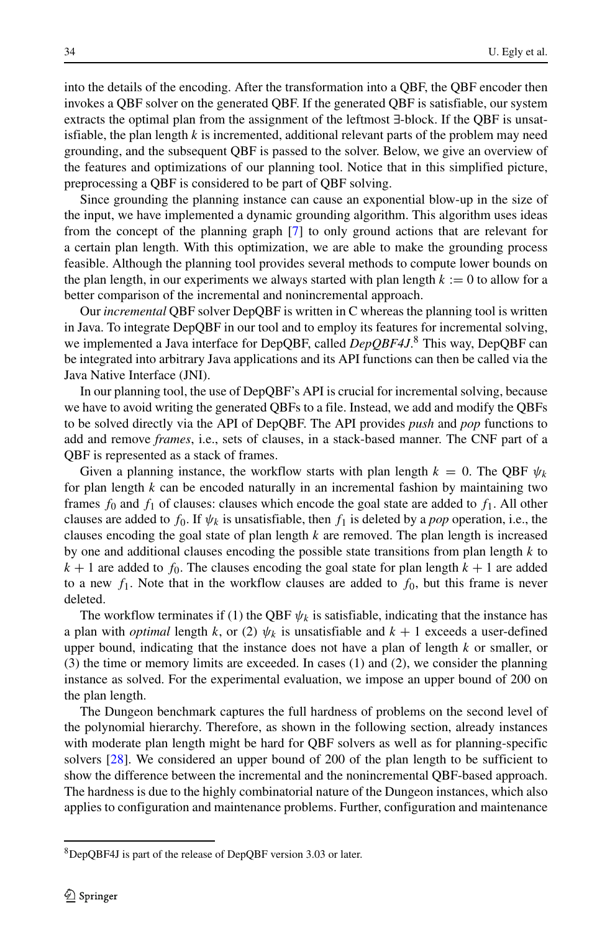into the details of the encoding. After the transformation into a QBF, the QBF encoder then invokes a QBF solver on the generated QBF. If the generated QBF is satisfiable, our system extracts the optimal plan from the assignment of the leftmost ∃-block. If the QBF is unsatisfiable, the plan length *k* is incremented, additional relevant parts of the problem may need grounding, and the subsequent QBF is passed to the solver. Below, we give an overview of the features and optimizations of our planning tool. Notice that in this simplified picture, preprocessing a QBF is considered to be part of QBF solving.

Since grounding the planning instance can cause an exponential blow-up in the size of the input, we have implemented a dynamic grounding algorithm. This algorithm uses ideas from the concept of the planning graph [\[7\]](#page-22-10) to only ground actions that are relevant for a certain plan length. With this optimization, we are able to make the grounding process feasible. Although the planning tool provides several methods to compute lower bounds on the plan length, in our experiments we always started with plan length  $k := 0$  to allow for a better comparison of the incremental and nonincremental approach.

Our *incremental* QBF solver DepQBF is written in C whereas the planning tool is written in Java. To integrate DepQBF in our tool and to employ its features for incremental solving, we implemented a Java interface for DepQBF, called *DepQBF4J*. [8](#page-13-0) This way, DepQBF can be integrated into arbitrary Java applications and its API functions can then be called via the Java Native Interface (JNI).

In our planning tool, the use of DepQBF's API is crucial for incremental solving, because we have to avoid writing the generated QBFs to a file. Instead, we add and modify the QBFs to be solved directly via the API of DepQBF. The API provides *push* and *pop* functions to add and remove *frames*, i.e., sets of clauses, in a stack-based manner. The CNF part of a QBF is represented as a stack of frames.

Given a planning instance, the workflow starts with plan length  $k = 0$ . The QBF  $\psi_k$ for plan length *k* can be encoded naturally in an incremental fashion by maintaining two frames *f*<sup>0</sup> and *f*<sup>1</sup> of clauses: clauses which encode the goal state are added to *f*1. All other clauses are added to  $f_0$ . If  $\psi_k$  is unsatisfiable, then  $f_1$  is deleted by a *pop* operation, i.e., the clauses encoding the goal state of plan length *k* are removed. The plan length is increased by one and additional clauses encoding the possible state transitions from plan length *k* to  $k + 1$  are added to  $f_0$ . The clauses encoding the goal state for plan length  $k + 1$  are added to a new  $f_1$ . Note that in the workflow clauses are added to  $f_0$ , but this frame is never deleted.

The workflow terminates if (1) the QBF  $\psi_k$  is satisfiable, indicating that the instance has a plan with *optimal* length *k*, or (2)  $\psi_k$  is unsatisfiable and  $k + 1$  exceeds a user-defined upper bound, indicating that the instance does not have a plan of length *k* or smaller, or (3) the time or memory limits are exceeded. In cases (1) and (2), we consider the planning instance as solved. For the experimental evaluation, we impose an upper bound of 200 on the plan length.

The Dungeon benchmark captures the full hardness of problems on the second level of the polynomial hierarchy. Therefore, as shown in the following section, already instances with moderate plan length might be hard for QBF solvers as well as for planning-specific solvers [\[28\]](#page-23-3). We considered an upper bound of 200 of the plan length to be sufficient to show the difference between the incremental and the nonincremental QBF-based approach. The hardness is due to the highly combinatorial nature of the Dungeon instances, which also applies to configuration and maintenance problems. Further, configuration and maintenance

<span id="page-13-0"></span><sup>8</sup>DepQBF4J is part of the release of DepQBF version 3.03 or later.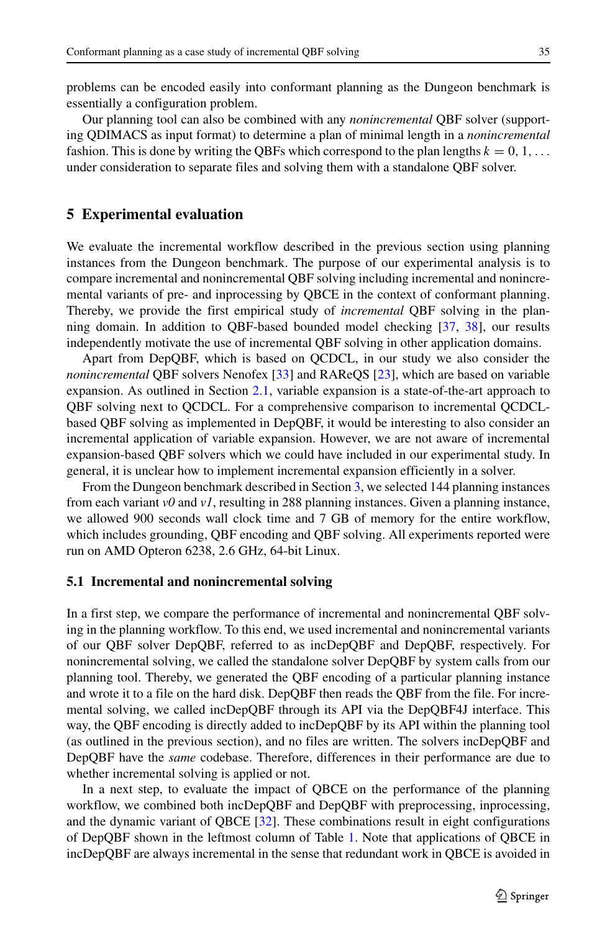problems can be encoded easily into conformant planning as the Dungeon benchmark is essentially a configuration problem.

Our planning tool can also be combined with any *nonincremental* QBF solver (supporting QDIMACS as input format) to determine a plan of minimal length in a *nonincremental* fashion. This is done by writing the QBFs which correspond to the plan lengths  $k = 0, 1, \ldots$ under consideration to separate files and solving them with a standalone QBF solver.

## <span id="page-14-0"></span>**5 Experimental evaluation**

We evaluate the incremental workflow described in the previous section using planning instances from the Dungeon benchmark. The purpose of our experimental analysis is to compare incremental and nonincremental QBF solving including incremental and nonincremental variants of pre- and inprocessing by QBCE in the context of conformant planning. Thereby, we provide the first empirical study of *incremental* QBF solving in the planning domain. In addition to QBF-based bounded model checking [\[37,](#page-23-27) [38\]](#page-23-26), our results independently motivate the use of incremental QBF solving in other application domains.

Apart from DepQBF, which is based on QCDCL, in our study we also consider the *nonincremental* QBF solvers Nenofex [\[33\]](#page-23-12) and RAReQS [\[23\]](#page-23-13), which are based on variable expansion. As outlined in Section [2.1,](#page-6-1) variable expansion is a state-of-the-art approach to QBF solving next to QCDCL. For a comprehensive comparison to incremental QCDCLbased QBF solving as implemented in DepQBF, it would be interesting to also consider an incremental application of variable expansion. However, we are not aware of incremental expansion-based QBF solvers which we could have included in our experimental study. In general, it is unclear how to implement incremental expansion efficiently in a solver.

From the Dungeon benchmark described in Section [3,](#page-11-0) we selected 144 planning instances from each variant *v0* and *v1*, resulting in 288 planning instances. Given a planning instance, we allowed 900 seconds wall clock time and 7 GB of memory for the entire workflow, which includes grounding, QBF encoding and QBF solving. All experiments reported were run on AMD Opteron 6238, 2.6 GHz, 64-bit Linux.

#### **5.1 Incremental and nonincremental solving**

In a first step, we compare the performance of incremental and nonincremental QBF solving in the planning workflow. To this end, we used incremental and nonincremental variants of our QBF solver DepQBF, referred to as incDepQBF and DepQBF, respectively. For nonincremental solving, we called the standalone solver DepQBF by system calls from our planning tool. Thereby, we generated the QBF encoding of a particular planning instance and wrote it to a file on the hard disk. DepQBF then reads the QBF from the file. For incremental solving, we called incDepQBF through its API via the DepQBF4J interface. This way, the QBF encoding is directly added to incDepQBF by its API within the planning tool (as outlined in the previous section), and no files are written. The solvers incDepQBF and DepQBF have the *same* codebase. Therefore, differences in their performance are due to whether incremental solving is applied or not.

In a next step, to evaluate the impact of QBCE on the performance of the planning workflow, we combined both incDepQBF and DepQBF with preprocessing, inprocessing, and the dynamic variant of QBCE [\[32\]](#page-23-11). These combinations result in eight configurations of DepQBF shown in the leftmost column of Table [1.](#page-15-0) Note that applications of QBCE in incDepQBF are always incremental in the sense that redundant work in QBCE is avoided in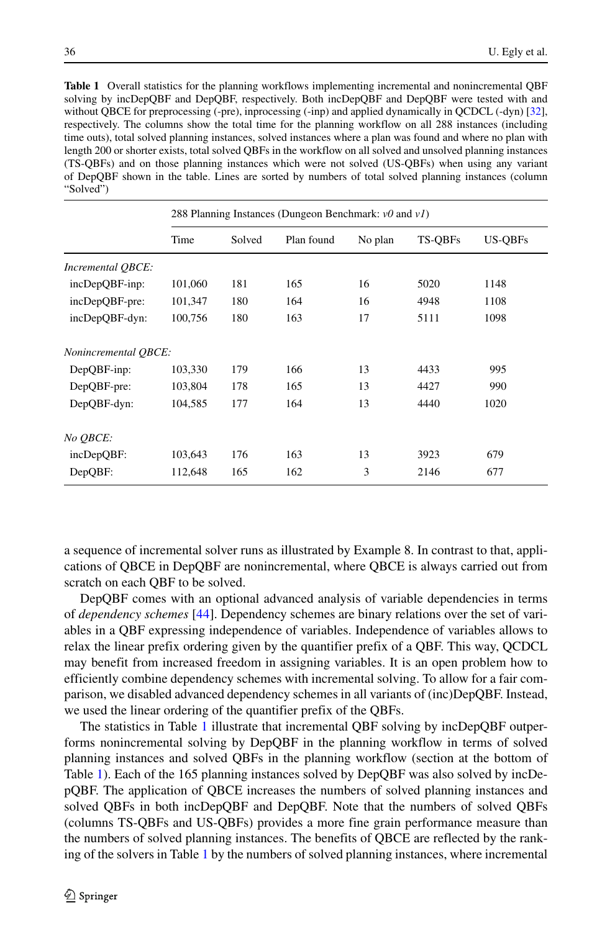<span id="page-15-0"></span>

| <b>Table 1</b> Overall statistics for the planning workflows implementing incremental and nonincremental QBF  |
|---------------------------------------------------------------------------------------------------------------|
| solving by incDepOBF and DepOBF, respectively. Both incDepOBF and DepOBF were tested with and                 |
| without QBCE for preprocessing (-pre), inprocessing (-inp) and applied dynamically in QCDCL (-dyn) [32],      |
| respectively. The columns show the total time for the planning workflow on all 288 instances (including       |
| time outs), total solved planning instances, solved instances where a plan was found and where no plan with   |
| length 200 or shorter exists, total solved QBFs in the workflow on all solved and unsolved planning instances |
| (TS-OBFs) and on those planning instances which were not solved (US-OBFs) when using any variant              |
| of DepOBF shown in the table. Lines are sorted by numbers of total solved planning instances (column          |
| "Solved")                                                                                                     |
|                                                                                                               |

|                      | 288 Planning Instances (Dungeon Benchmark: $v\theta$ and $vI$ ) |        |            |         |                |         |
|----------------------|-----------------------------------------------------------------|--------|------------|---------|----------------|---------|
|                      | Time                                                            | Solved | Plan found | No plan | <b>TS-OBFs</b> | US-OBFs |
| Incremental QBCE:    |                                                                 |        |            |         |                |         |
| incDepQBF-inp:       | 101,060                                                         | 181    | 165        | 16      | 5020           | 1148    |
| incDepQBF-pre:       | 101,347                                                         | 180    | 164        | 16      | 4948           | 1108    |
| incDepOBF-dyn:       | 100,756                                                         | 180    | 163        | 17      | 5111           | 1098    |
| Nonincremental OBCE: |                                                                 |        |            |         |                |         |
| DepQBF-inp:          | 103,330                                                         | 179    | 166        | 13      | 4433           | 995     |
| DepQBF-pre:          | 103,804                                                         | 178    | 165        | 13      | 4427           | 990     |
| DepQBF-dyn:          | 104,585                                                         | 177    | 164        | 13      | 4440           | 1020    |
| No QBCE:             |                                                                 |        |            |         |                |         |
| incDepQBF:           | 103,643                                                         | 176    | 163        | 13      | 3923           | 679     |
| DepQBF:              | 112,648                                                         | 165    | 162        | 3       | 2146           | 677     |

a sequence of incremental solver runs as illustrated by Example 8. In contrast to that, applications of QBCE in DepQBF are nonincremental, where QBCE is always carried out from scratch on each QBF to be solved.

DepQBF comes with an optional advanced analysis of variable dependencies in terms of *dependency schemes* [\[44\]](#page-24-7). Dependency schemes are binary relations over the set of variables in a QBF expressing independence of variables. Independence of variables allows to relax the linear prefix ordering given by the quantifier prefix of a QBF. This way, QCDCL may benefit from increased freedom in assigning variables. It is an open problem how to efficiently combine dependency schemes with incremental solving. To allow for a fair comparison, we disabled advanced dependency schemes in all variants of (inc)DepQBF. Instead, we used the linear ordering of the quantifier prefix of the QBFs.

The statistics in Table [1](#page-15-0) illustrate that incremental QBF solving by incDepQBF outperforms nonincremental solving by DepQBF in the planning workflow in terms of solved planning instances and solved QBFs in the planning workflow (section at the bottom of Table [1\)](#page-15-0). Each of the 165 planning instances solved by DepQBF was also solved by incDepQBF. The application of QBCE increases the numbers of solved planning instances and solved QBFs in both incDepQBF and DepQBF. Note that the numbers of solved QBFs (columns TS-QBFs and US-QBFs) provides a more fine grain performance measure than the numbers of solved planning instances. The benefits of QBCE are reflected by the ranking of the solvers in Table [1](#page-15-0) by the numbers of solved planning instances, where incremental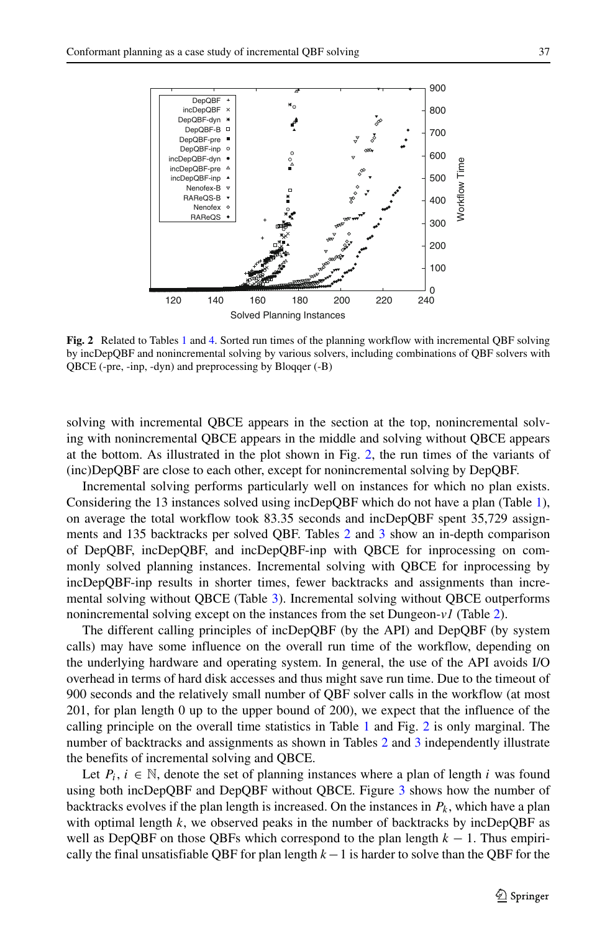<span id="page-16-0"></span>

**Fig. 2** Related to Tables [1](#page-15-0) and [4.](#page-19-0) Sorted run times of the planning workflow with incremental QBF solving by incDepQBF and nonincremental solving by various solvers, including combinations of QBF solvers with QBCE (-pre, -inp, -dyn) and preprocessing by Bloqqer (-B)

solving with incremental QBCE appears in the section at the top, nonincremental solving with nonincremental QBCE appears in the middle and solving without QBCE appears at the bottom. As illustrated in the plot shown in Fig. [2,](#page-16-0) the run times of the variants of (inc)DepQBF are close to each other, except for nonincremental solving by DepQBF.

Incremental solving performs particularly well on instances for which no plan exists. Considering the 13 instances solved using incDepQBF which do not have a plan (Table [1\)](#page-15-0), on average the total workflow took 83.35 seconds and incDepQBF spent 35,729 assignments and 135 backtracks per solved QBF. Tables [2](#page-17-0) and [3](#page-18-0) show an in-depth comparison of DepQBF, incDepQBF, and incDepQBF-inp with QBCE for inprocessing on commonly solved planning instances. Incremental solving with QBCE for inprocessing by incDepQBF-inp results in shorter times, fewer backtracks and assignments than incremental solving without QBCE (Table [3\)](#page-18-0). Incremental solving without QBCE outperforms nonincremental solving except on the instances from the set Dungeon-*v1* (Table [2\)](#page-17-0).

The different calling principles of incDepQBF (by the API) and DepQBF (by system calls) may have some influence on the overall run time of the workflow, depending on the underlying hardware and operating system. In general, the use of the API avoids I/O overhead in terms of hard disk accesses and thus might save run time. Due to the timeout of 900 seconds and the relatively small number of QBF solver calls in the workflow (at most 201, for plan length 0 up to the upper bound of 200), we expect that the influence of the calling principle on the overall time statistics in Table [1](#page-15-0) and Fig. [2](#page-16-0) is only marginal. The number of backtracks and assignments as shown in Tables [2](#page-17-0) and [3](#page-18-0) independently illustrate the benefits of incremental solving and QBCE.

Let  $P_i$ ,  $i \in \mathbb{N}$ , denote the set of planning instances where a plan of length *i* was found using both incDepQBF and DepQBF without QBCE. Figure [3](#page-19-1) shows how the number of backtracks evolves if the plan length is increased. On the instances in *Pk*, which have a plan with optimal length *k*, we observed peaks in the number of backtracks by incDepQBF as well as DepQBF on those QBFs which correspond to the plan length *k* − 1. Thus empirically the final unsatisfiable QBF for plan length *k*−1 is harder to solve than the QBF for the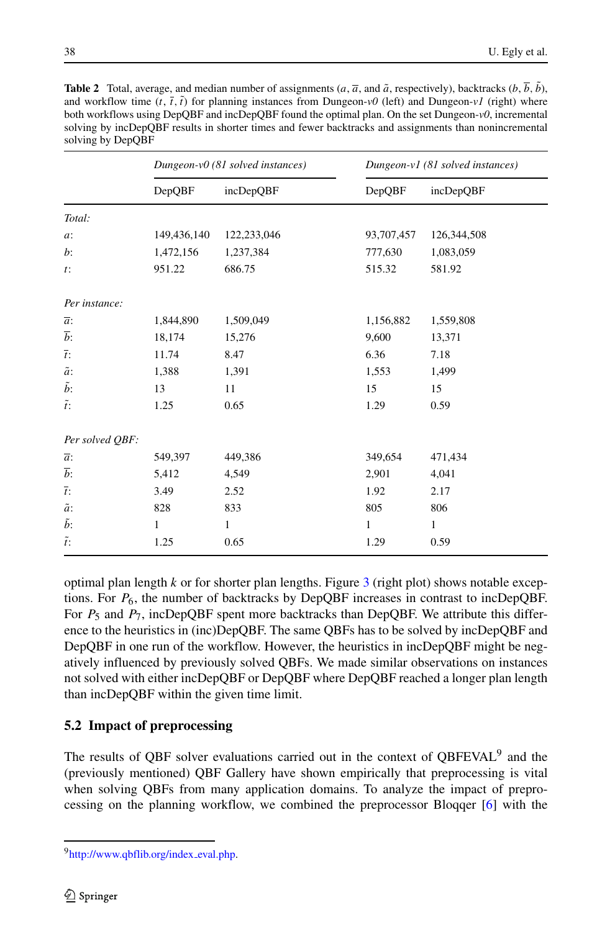|                  | Dungeon-v0 (81 solved instances) |             | Dungeon-v1 (81 solved instances) |             |  |
|------------------|----------------------------------|-------------|----------------------------------|-------------|--|
|                  | <b>DepQBF</b>                    | incDepQBF   | <b>DepQBF</b>                    | incDepQBF   |  |
| Total:           |                                  |             |                                  |             |  |
| $a$ :            | 149,436,140                      | 122,233,046 | 93,707,457                       | 126,344,508 |  |
| $b$ :            | 1,472,156                        | 1,237,384   | 777,630                          | 1,083,059   |  |
| $t$ :            | 951.22                           | 686.75      | 515.32                           | 581.92      |  |
| Per instance:    |                                  |             |                                  |             |  |
| $\overline{a}$ : | 1,844,890                        | 1,509,049   | 1,156,882                        | 1,559,808   |  |
| $\overline{b}$ : | 18,174                           | 15,276      | 9,600                            | 13,371      |  |
| $\overline{t}$ : | 11.74                            | 8.47        | 6.36                             | 7.18        |  |
| $\tilde{a}$ :    | 1,388                            | 1,391       | 1,553                            | 1,499       |  |
| $\tilde{b}$ :    | 13                               | 11          | 15                               | 15          |  |
| $\tilde{t}$ :    | 1.25                             | 0.65        | 1.29                             | 0.59        |  |
| Per solved QBF:  |                                  |             |                                  |             |  |
| $\overline{a}$ : | 549,397                          | 449,386     | 349,654                          | 471,434     |  |
| $\overline{b}$ : | 5,412                            | 4,549       | 2,901                            | 4,041       |  |
| $\overline{t}$ : | 3.49                             | 2.52        | 1.92                             | 2.17        |  |
| $\tilde{a}$ :    | 828                              | 833         | 805                              | 806         |  |
| $\tilde{b}$ :    | $\mathbf{1}$                     | 1           | 1                                | 1           |  |
| $\tilde{t}$ :    | 1.25                             | 0.65        | 1.29                             | 0.59        |  |

<span id="page-17-0"></span>**Table 2** Total, average, and median number of assignments  $(a, \overline{a})$ , and  $\tilde{a}$ , respectively), backtracks  $(b, \overline{b}, \overline{b})$ , and workflow time  $(t, \bar{t}, \tilde{t})$  for planning instances from Dungeon- $v0$  (left) and Dungeon- $v1$  (right) where both workflows using DepQBF and incDepQBF found the optimal plan. On the set Dungeon-*v0*, incremental solving by incDepQBF results in shorter times and fewer backtracks and assignments than nonincremental solving by DepQBF

optimal plan length *k* or for shorter plan lengths. Figure [3](#page-19-1) (right plot) shows notable exceptions. For  $P_6$ , the number of backtracks by DepQBF increases in contrast to incDepQBF. For  $P_5$  and  $P_7$ , incDepQBF spent more backtracks than DepQBF. We attribute this difference to the heuristics in (inc)DepQBF. The same QBFs has to be solved by incDepQBF and DepQBF in one run of the workflow. However, the heuristics in incDepQBF might be negatively influenced by previously solved QBFs. We made similar observations on instances not solved with either incDepQBF or DepQBF where DepQBF reached a longer plan length than incDepQBF within the given time limit.

## **5.2 Impact of preprocessing**

The results of QBF solver evaluations carried out in the context of QBFEVAL[9](#page-17-1) and the (previously mentioned) QBF Gallery have shown empirically that preprocessing is vital when solving QBFs from many application domains. To analyze the impact of preprocessing on the planning workflow, we combined the preprocessor Bloqqer [\[6\]](#page-22-3) with the

<span id="page-17-1"></span><sup>&</sup>lt;sup>9</sup>http://www.qbflib.org/index\_eval.php.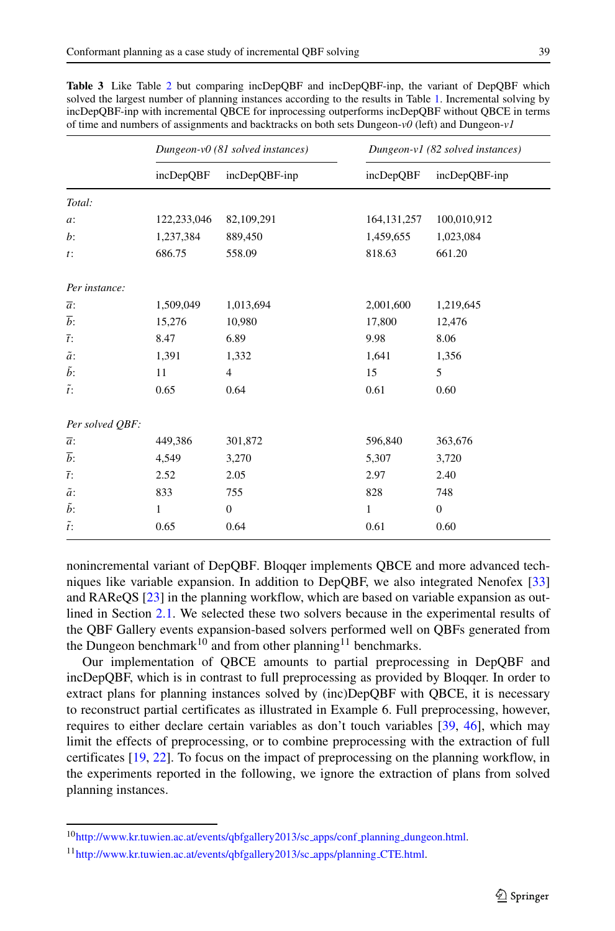|                  |             | Dungeon-v0 (81 solved instances) | Dungeon-v1 (82 solved instances) |               |  |
|------------------|-------------|----------------------------------|----------------------------------|---------------|--|
|                  | incDepQBF   | incDepQBF-inp                    | incDepQBF                        | incDepQBF-inp |  |
| Total:           |             |                                  |                                  |               |  |
| a:               | 122,233,046 | 82,109,291                       | 164, 131, 257                    | 100,010,912   |  |
| $b$ :            | 1,237,384   | 889,450                          | 1,459,655                        | 1,023,084     |  |
| $t$ :            | 686.75      | 558.09                           | 818.63                           | 661.20        |  |
| Per instance:    |             |                                  |                                  |               |  |
| $\overline{a}$ : | 1,509,049   | 1,013,694                        | 2,001,600                        | 1,219,645     |  |
| $\overline{b}$ : | 15,276      | 10,980                           | 17,800                           | 12,476        |  |
| $\overline{t}$ : | 8.47        | 6.89                             | 9.98                             | 8.06          |  |
| $\tilde{a}$ :    | 1,391       | 1,332                            | 1,641                            | 1,356         |  |
| $\tilde{b}$ :    | 11          | $\overline{4}$                   | 15                               | 5             |  |
| $\tilde{t}$ :    | 0.65        | 0.64                             | 0.61                             | 0.60          |  |
| Per solved QBF:  |             |                                  |                                  |               |  |
| $\overline{a}$ : | 449,386     | 301,872                          | 596,840                          | 363,676       |  |
| $\overline{b}$ : | 4,549       | 3,270                            | 5,307                            | 3,720         |  |
| $\overline{t}$ : | 2.52        | 2.05                             | 2.97                             | 2.40          |  |
| $\tilde{a}$ :    | 833         | 755                              | 828                              | 748           |  |
| $\tilde{b}$ :    | 1           | $\mathbf{0}$                     | 1                                | $\mathbf{0}$  |  |
| $\tilde{t}$ :    | 0.65        | 0.64                             | 0.61                             | 0.60          |  |

<span id="page-18-0"></span>**Table 3** Like Table [2](#page-17-0) but comparing incDepQBF and incDepQBF-inp, the variant of DepQBF which solved the largest number of planning instances according to the results in Table [1.](#page-15-0) Incremental solving by incDepQBF-inp with incremental QBCE for inprocessing outperforms incDepQBF without QBCE in terms of time and numbers of assignments and backtracks on both sets Dungeon-*v0* (left) and Dungeon-*v1*

nonincremental variant of DepQBF. Bloqqer implements QBCE and more advanced techniques like variable expansion. In addition to DepQBF, we also integrated Nenofex [\[33\]](#page-23-12) and RAReQS [\[23\]](#page-23-13) in the planning workflow, which are based on variable expansion as outlined in Section [2.1.](#page-6-1) We selected these two solvers because in the experimental results of the QBF Gallery events expansion-based solvers performed well on QBFs generated from the Dungeon benchmark<sup>[10](#page-18-1)</sup> and from other planning<sup>[11](#page-18-2)</sup> benchmarks.

Our implementation of QBCE amounts to partial preprocessing in DepQBF and incDepQBF, which is in contrast to full preprocessing as provided by Bloqqer. In order to extract plans for planning instances solved by (inc)DepQBF with QBCE, it is necessary to reconstruct partial certificates as illustrated in Example 6. Full preprocessing, however, requires to either declare certain variables as don't touch variables [\[39,](#page-23-4) [46\]](#page-24-6), which may limit the effects of preprocessing, or to combine preprocessing with the extraction of full certificates [\[19,](#page-23-24) [22\]](#page-23-28). To focus on the impact of preprocessing on the planning workflow, in the experiments reported in the following, we ignore the extraction of plans from solved planning instances.

<sup>&</sup>lt;sup>10</sup>http://www.kr.tuwien.ac.at/events/qbfgallery2013/sc\_apps/conf\_planning\_dungeon.html.

<span id="page-18-2"></span><span id="page-18-1"></span><sup>1</sup>[1http://www.kr.tuwien.ac.at/events/qbfgallery2013/sc](http://www.kr.tuwien.ac.at/events/qbfgallery2013/sc_apps/planning_CTE.html) apps/planning CTE.html.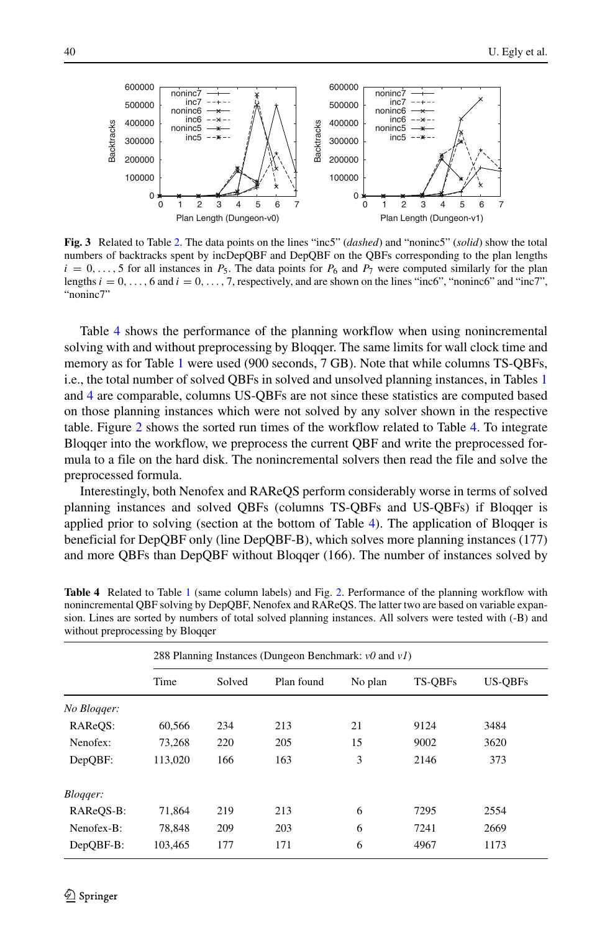<span id="page-19-1"></span>

**Fig. 3** Related to Table [2.](#page-17-0) The data points on the lines "inc5" (*dashed*) and "noninc5" (*solid*) show the total numbers of backtracks spent by incDepQBF and DepQBF on the QBFs corresponding to the plan lengths  $i = 0, \ldots, 5$  for all instances in  $P_5$ . The data points for  $P_6$  and  $P_7$  were computed similarly for the plan lengths  $i = 0, \ldots, 6$  and  $i = 0, \ldots, 7$ , respectively, and are shown on the lines "inc6", "noninc6" and "inc7", "noninc7"

Table [4](#page-19-0) shows the performance of the planning workflow when using nonincremental solving with and without preprocessing by Bloqqer. The same limits for wall clock time and memory as for Table [1](#page-15-0) were used (900 seconds, 7 GB). Note that while columns TS-QBFs, i.e., the total number of solved QBFs in solved and unsolved planning instances, in Tables [1](#page-15-0) and [4](#page-19-0) are comparable, columns US-QBFs are not since these statistics are computed based on those planning instances which were not solved by any solver shown in the respective table. Figure [2](#page-16-0) shows the sorted run times of the workflow related to Table [4.](#page-19-0) To integrate Bloqqer into the workflow, we preprocess the current QBF and write the preprocessed formula to a file on the hard disk. The nonincremental solvers then read the file and solve the preprocessed formula.

Interestingly, both Nenofex and RAReQS perform considerably worse in terms of solved planning instances and solved QBFs (columns TS-QBFs and US-QBFs) if Bloqqer is applied prior to solving (section at the bottom of Table [4\)](#page-19-0). The application of Bloqqer is beneficial for DepQBF only (line DepQBF-B), which solves more planning instances (177) and more QBFs than DepQBF without Bloqqer (166). The number of instances solved by

|             | 288 Planning Instances (Dungeon Benchmark: $v\theta$ and $vI$ ) |        |            |         |                |         |  |
|-------------|-----------------------------------------------------------------|--------|------------|---------|----------------|---------|--|
|             | Time                                                            | Solved | Plan found | No plan | <b>TS-OBFs</b> | US-OBFs |  |
| No Blogger: |                                                                 |        |            |         |                |         |  |
| RAReOS:     | 60,566                                                          | 234    | 213        | 21      | 9124           | 3484    |  |
| Nenofex:    | 73,268                                                          | 220    | 205        | 15      | 9002           | 3620    |  |
| DepQBF:     | 113,020                                                         | 166    | 163        | 3       | 2146           | 373     |  |
| Blogger:    |                                                                 |        |            |         |                |         |  |
| RAReOS-B:   | 71,864                                                          | 219    | 213        | 6       | 7295           | 2554    |  |
| Nenofex-B:  | 78,848                                                          | 209    | 203        | 6       | 7241           | 2669    |  |
| DepQBF-B:   | 103,465                                                         | 177    | 171        | 6       | 4967           | 1173    |  |

<span id="page-19-0"></span>**Table 4** Related to Table [1](#page-15-0) (same column labels) and Fig. [2.](#page-16-0) Performance of the planning workflow with nonincremental QBF solving by DepQBF, Nenofex and RAReQS. The latter two are based on variable expansion. Lines are sorted by numbers of total solved planning instances. All solvers were tested with (-B) and without preprocessing by Bloqqer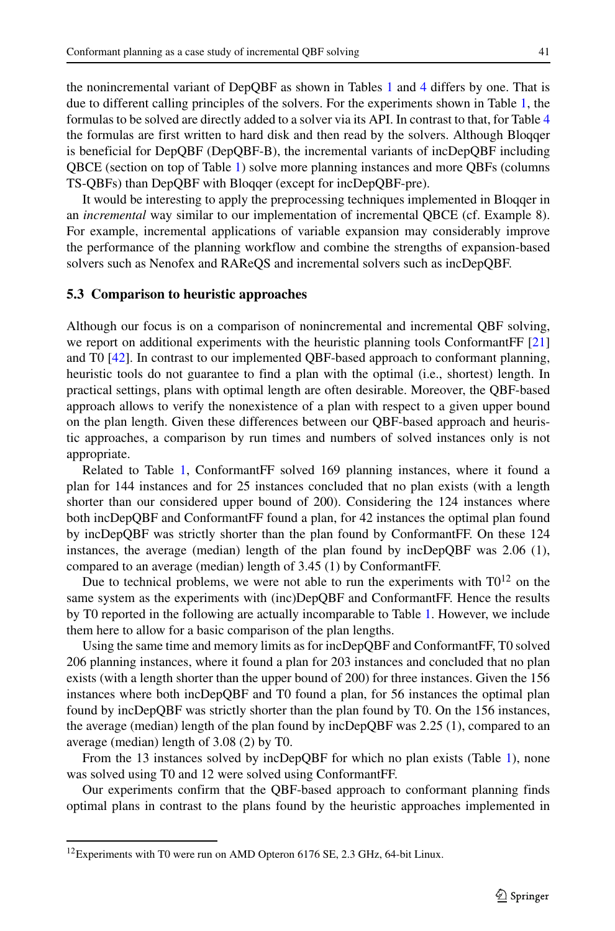the nonincremental variant of DepQBF as shown in Tables [1](#page-15-0) and [4](#page-19-0) differs by one. That is due to different calling principles of the solvers. For the experiments shown in Table [1,](#page-15-0) the formulas to be solved are directly added to a solver via its API. In contrast to that, for Table [4](#page-19-0) the formulas are first written to hard disk and then read by the solvers. Although Bloqqer is beneficial for DepQBF (DepQBF-B), the incremental variants of incDepQBF including QBCE (section on top of Table [1\)](#page-15-0) solve more planning instances and more QBFs (columns TS-QBFs) than DepQBF with Bloqqer (except for incDepQBF-pre).

It would be interesting to apply the preprocessing techniques implemented in Bloqqer in an *incremental* way similar to our implementation of incremental QBCE (cf. Example 8). For example, incremental applications of variable expansion may considerably improve the performance of the planning workflow and combine the strengths of expansion-based solvers such as Nenofex and RAReQS and incremental solvers such as incDepQBF.

#### **5.3 Comparison to heuristic approaches**

Although our focus is on a comparison of nonincremental and incremental QBF solving, we report on additional experiments with the heuristic planning tools ConformantFF [\[21\]](#page-23-29) and T0 [\[42\]](#page-23-30). In contrast to our implemented QBF-based approach to conformant planning, heuristic tools do not guarantee to find a plan with the optimal (i.e., shortest) length. In practical settings, plans with optimal length are often desirable. Moreover, the QBF-based approach allows to verify the nonexistence of a plan with respect to a given upper bound on the plan length. Given these differences between our QBF-based approach and heuristic approaches, a comparison by run times and numbers of solved instances only is not appropriate.

Related to Table [1,](#page-15-0) ConformantFF solved 169 planning instances, where it found a plan for 144 instances and for 25 instances concluded that no plan exists (with a length shorter than our considered upper bound of 200). Considering the 124 instances where both incDepQBF and ConformantFF found a plan, for 42 instances the optimal plan found by incDepQBF was strictly shorter than the plan found by ConformantFF. On these 124 instances, the average (median) length of the plan found by incDepQBF was 2.06 (1), compared to an average (median) length of 3.45 (1) by ConformantFF.

Due to technical problems, we were not able to run the experiments with  $T0^{12}$  on the same system as the experiments with (inc)DepQBF and ConformantFF. Hence the results by T0 reported in the following are actually incomparable to Table [1.](#page-15-0) However, we include them here to allow for a basic comparison of the plan lengths.

Using the same time and memory limits as for incDepQBF and ConformantFF, T0 solved 206 planning instances, where it found a plan for 203 instances and concluded that no plan exists (with a length shorter than the upper bound of 200) for three instances. Given the 156 instances where both incDepQBF and T0 found a plan, for 56 instances the optimal plan found by incDepQBF was strictly shorter than the plan found by T0. On the 156 instances, the average (median) length of the plan found by incDepQBF was 2.25 (1), compared to an average (median) length of 3.08 (2) by T0.

From the 13 instances solved by incDepQBF for which no plan exists (Table [1\)](#page-15-0), none was solved using T0 and 12 were solved using ConformantFF.

Our experiments confirm that the QBF-based approach to conformant planning finds optimal plans in contrast to the plans found by the heuristic approaches implemented in

<span id="page-20-0"></span><sup>&</sup>lt;sup>12</sup>Experiments with T0 were run on AMD Opteron 6176 SE, 2.3 GHz, 64-bit Linux.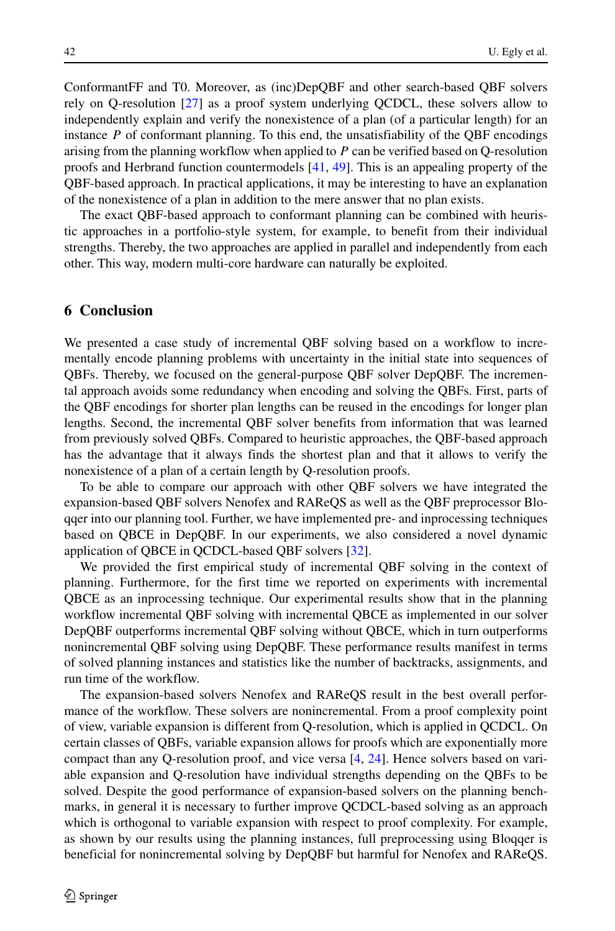ConformantFF and T0. Moreover, as (inc)DepQBF and other search-based QBF solvers rely on Q-resolution [\[27\]](#page-23-15) as a proof system underlying QCDCL, these solvers allow to independently explain and verify the nonexistence of a plan (of a particular length) for an instance  *of conformant planning. To this end, the unsatisfiability of the QBF encodings* arising from the planning workflow when applied to *P* can be verified based on Q-resolution proofs and Herbrand function countermodels [\[41,](#page-23-17) [49\]](#page-24-3). This is an appealing property of the QBF-based approach. In practical applications, it may be interesting to have an explanation of the nonexistence of a plan in addition to the mere answer that no plan exists.

The exact QBF-based approach to conformant planning can be combined with heuristic approaches in a portfolio-style system, for example, to benefit from their individual strengths. Thereby, the two approaches are applied in parallel and independently from each other. This way, modern multi-core hardware can naturally be exploited.

## <span id="page-21-0"></span>**6 Conclusion**

We presented a case study of incremental QBF solving based on a workflow to incrementally encode planning problems with uncertainty in the initial state into sequences of QBFs. Thereby, we focused on the general-purpose QBF solver DepQBF. The incremental approach avoids some redundancy when encoding and solving the QBFs. First, parts of the QBF encodings for shorter plan lengths can be reused in the encodings for longer plan lengths. Second, the incremental QBF solver benefits from information that was learned from previously solved QBFs. Compared to heuristic approaches, the QBF-based approach has the advantage that it always finds the shortest plan and that it allows to verify the nonexistence of a plan of a certain length by Q-resolution proofs.

To be able to compare our approach with other QBF solvers we have integrated the expansion-based QBF solvers Nenofex and RAReQS as well as the QBF preprocessor Bloqqer into our planning tool. Further, we have implemented pre- and inprocessing techniques based on QBCE in DepQBF. In our experiments, we also considered a novel dynamic application of QBCE in QCDCL-based QBF solvers [\[32\]](#page-23-11).

We provided the first empirical study of incremental QBF solving in the context of planning. Furthermore, for the first time we reported on experiments with incremental QBCE as an inprocessing technique. Our experimental results show that in the planning workflow incremental QBF solving with incremental QBCE as implemented in our solver DepQBF outperforms incremental QBF solving without QBCE, which in turn outperforms nonincremental QBF solving using DepQBF. These performance results manifest in terms of solved planning instances and statistics like the number of backtracks, assignments, and run time of the workflow.

The expansion-based solvers Nenofex and RAReQS result in the best overall performance of the workflow. These solvers are nonincremental. From a proof complexity point of view, variable expansion is different from Q-resolution, which is applied in QCDCL. On certain classes of QBFs, variable expansion allows for proofs which are exponentially more compact than any Q-resolution proof, and vice versa [\[4,](#page-22-9) [24\]](#page-23-18). Hence solvers based on variable expansion and Q-resolution have individual strengths depending on the QBFs to be solved. Despite the good performance of expansion-based solvers on the planning benchmarks, in general it is necessary to further improve QCDCL-based solving as an approach which is orthogonal to variable expansion with respect to proof complexity. For example, as shown by our results using the planning instances, full preprocessing using Bloqqer is beneficial for nonincremental solving by DepQBF but harmful for Nenofex and RAReQS.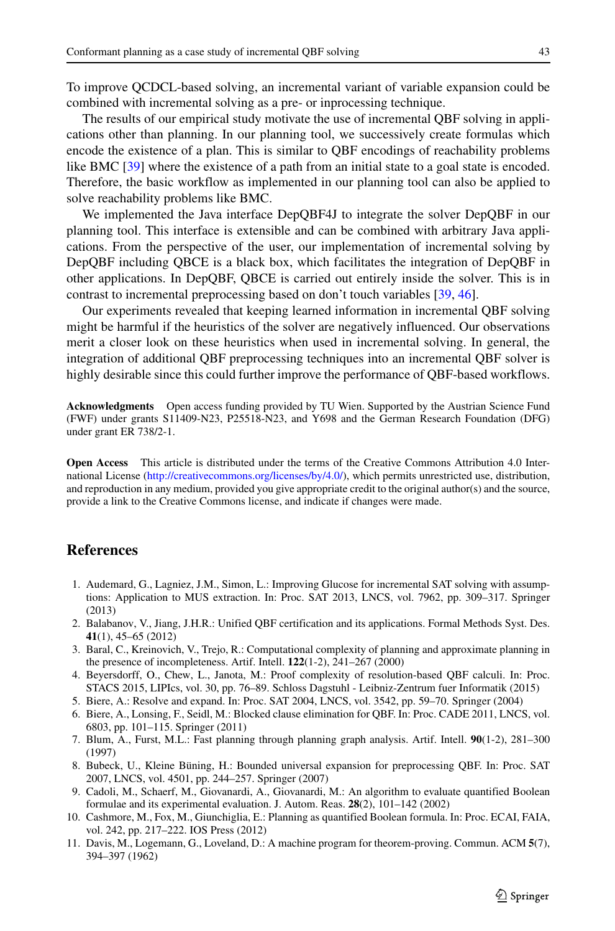To improve QCDCL-based solving, an incremental variant of variable expansion could be combined with incremental solving as a pre- or inprocessing technique.

The results of our empirical study motivate the use of incremental QBF solving in applications other than planning. In our planning tool, we successively create formulas which encode the existence of a plan. This is similar to QBF encodings of reachability problems like BMC [\[39\]](#page-23-4) where the existence of a path from an initial state to a goal state is encoded. Therefore, the basic workflow as implemented in our planning tool can also be applied to solve reachability problems like BMC.

We implemented the Java interface DepQBF4J to integrate the solver DepQBF in our planning tool. This interface is extensible and can be combined with arbitrary Java applications. From the perspective of the user, our implementation of incremental solving by DepQBF including QBCE is a black box, which facilitates the integration of DepQBF in other applications. In DepQBF, QBCE is carried out entirely inside the solver. This is in contrast to incremental preprocessing based on don't touch variables [\[39,](#page-23-4) [46\]](#page-24-6).

Our experiments revealed that keeping learned information in incremental QBF solving might be harmful if the heuristics of the solver are negatively influenced. Our observations merit a closer look on these heuristics when used in incremental solving. In general, the integration of additional QBF preprocessing techniques into an incremental QBF solver is highly desirable since this could further improve the performance of QBF-based workflows.

**Acknowledgments** Open access funding provided by TU Wien. Supported by the Austrian Science Fund (FWF) under grants S11409-N23, P25518-N23, and Y698 and the German Research Foundation (DFG) under grant ER 738/2-1.

**Open Access** This article is distributed under the terms of the Creative Commons Attribution 4.0 International License [\(http://creativecommons.org/licenses/by/4.0/\)](http://creativecommons.org/licenses/by/4.0/), which permits unrestricted use, distribution, and reproduction in any medium, provided you give appropriate credit to the original author(s) and the source, provide a link to the Creative Commons license, and indicate if changes were made.

## **References**

- <span id="page-22-0"></span>1. Audemard, G., Lagniez, J.M., Simon, L.: Improving Glucose for incremental SAT solving with assumptions: Application to MUS extraction. In: Proc. SAT 2013, LNCS, vol. 7962, pp. 309–317. Springer (2013)
- <span id="page-22-6"></span>2. Balabanov, V., Jiang, J.H.R.: Unified QBF certification and its applications. Formal Methods Syst. Des. **41**(1), 45–65 (2012)
- <span id="page-22-1"></span>3. Baral, C., Kreinovich, V., Trejo, R.: Computational complexity of planning and approximate planning in the presence of incompleteness. Artif. Intell. **122**(1-2), 241–267 (2000)
- <span id="page-22-9"></span>4. Beyersdorff, O., Chew, L., Janota, M.: Proof complexity of resolution-based QBF calculi. In: Proc. STACS 2015, LIPIcs, vol. 30, pp. 76–89. Schloss Dagstuhl - Leibniz-Zentrum fuer Informatik (2015)
- <span id="page-22-7"></span>5. Biere, A.: Resolve and expand. In: Proc. SAT 2004, LNCS, vol. 3542, pp. 59–70. Springer (2004)
- <span id="page-22-3"></span>6. Biere, A., Lonsing, F., Seidl, M.: Blocked clause elimination for QBF. In: Proc. CADE 2011, LNCS, vol. 6803, pp. 101–115. Springer (2011)
- <span id="page-22-10"></span>7. Blum, A., Furst, M.L.: Fast planning through planning graph analysis. Artif. Intell. **90**(1-2), 281–300 (1997)
- <span id="page-22-8"></span>8. Bubeck, U., Kleine Büning, H.: Bounded universal expansion for preprocessing QBF. In: Proc. SAT 2007, LNCS, vol. 4501, pp. 244–257. Springer (2007)
- <span id="page-22-4"></span>9. Cadoli, M., Schaerf, M., Giovanardi, A., Giovanardi, M.: An algorithm to evaluate quantified Boolean formulae and its experimental evaluation. J. Autom. Reas. **28**(2), 101–142 (2002)
- <span id="page-22-2"></span>10. Cashmore, M., Fox, M., Giunchiglia, E.: Planning as quantified Boolean formula. In: Proc. ECAI, FAIA, vol. 242, pp. 217–222. IOS Press (2012)
- <span id="page-22-5"></span>11. Davis, M., Logemann, G., Loveland, D.: A machine program for theorem-proving. Commun. ACM **5**(7), 394–397 (1962)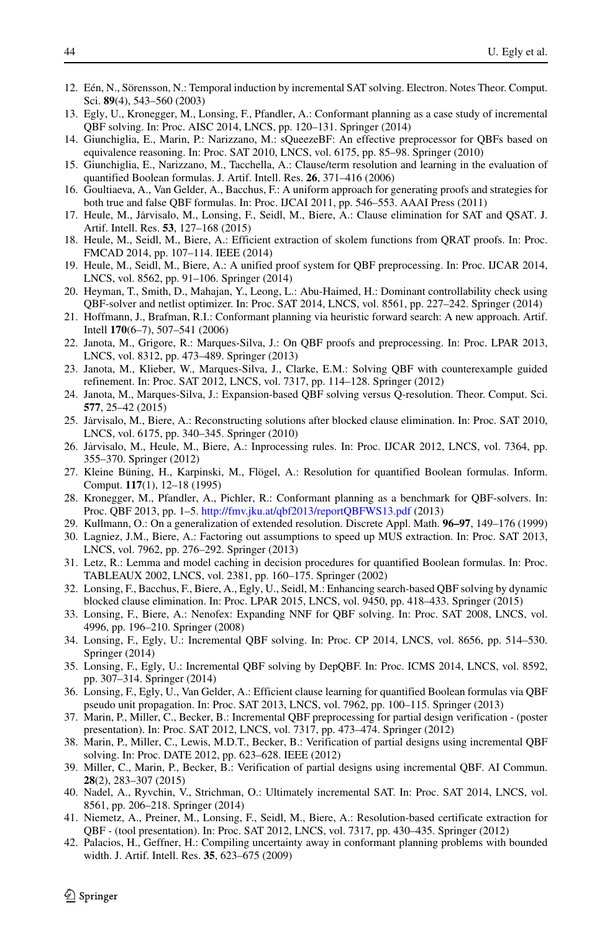- <span id="page-23-0"></span>12. Eén, N., Sörensson, N.: Temporal induction by incremental SAT solving. Electron. Notes Theor. Comput. Sci. **89**(4), 543–560 (2003)
- <span id="page-23-14"></span>13. Egly, U., Kronegger, M., Lonsing, F., Pfandler, A.: Conformant planning as a case study of incremental QBF solving. In: Proc. AISC 2014, LNCS, pp. 120–131. Springer (2014)
- <span id="page-23-19"></span>14. Giunchiglia, E., Marin, P.: Narizzano, M.: sQueezeBF: An effective preprocessor for QBFs based on equivalence reasoning. In: Proc. SAT 2010, LNCS, vol. 6175, pp. 85–98. Springer (2010)
- <span id="page-23-7"></span>15. Giunchiglia, E., Narizzano, M., Tacchella, A.: Clause/term resolution and learning in the evaluation of quantified Boolean formulas. J. Artif. Intell. Res. **26**, 371–416 (2006)
- <span id="page-23-16"></span>16. Goultiaeva, A., Van Gelder, A., Bacchus, F.: A uniform approach for generating proofs and strategies for both true and false QBF formulas. In: Proc. IJCAI 2011, pp. 546–553. AAAI Press (2011)
- <span id="page-23-10"></span>17. Heule, M., Jarvisalo, M., Lonsing, F., Seidl, M., Biere, A.: Clause elimination for SAT and QSAT. J. ˙ Artif. Intell. Res. **53**, 127–168 (2015)
- <span id="page-23-23"></span>18. Heule, M., Seidl, M., Biere, A.: Efficient extraction of skolem functions from QRAT proofs. In: Proc. FMCAD 2014, pp. 107–114. IEEE (2014)
- <span id="page-23-24"></span>19. Heule, M., Seidl, M., Biere, A.: A unified proof system for QBF preprocessing. In: Proc. IJCAR 2014, LNCS, vol. 8562, pp. 91–106. Springer (2014)
- <span id="page-23-21"></span>20. Heyman, T., Smith, D., Mahajan, Y., Leong, L.: Abu-Haimed, H.: Dominant controllability check using QBF-solver and netlist optimizer. In: Proc. SAT 2014, LNCS, vol. 8561, pp. 227–242. Springer (2014)
- <span id="page-23-29"></span>21. Hoffmann, J., Brafman, R.I.: Conformant planning via heuristic forward search: A new approach. Artif. Intell **170**(6–7), 507–541 (2006)
- <span id="page-23-28"></span>22. Janota, M., Grigore, R.: Marques-Silva, J.: On QBF proofs and preprocessing. In: Proc. LPAR 2013, LNCS, vol. 8312, pp. 473–489. Springer (2013)
- <span id="page-23-13"></span>23. Janota, M., Klieber, W., Marques-Silva, J., Clarke, E.M.: Solving QBF with counterexample guided refinement. In: Proc. SAT 2012, LNCS, vol. 7317, pp. 114–128. Springer (2012)
- <span id="page-23-18"></span>24. Janota, M., Marques-Silva, J.: Expansion-based QBF solving versus Q-resolution. Theor. Comput. Sci. **577**, 25–42 (2015)
- <span id="page-23-22"></span>25. Jarvisalo, M., Biere, A.: Reconstructing solutions after blocked clause elimination. In: Proc. SAT 2010, LNCS, vol. 6175, pp. 340–345. Springer (2010)
- <span id="page-23-25"></span>26. Jarvisalo, M., Heule, M., Biere, A.: Inprocessing rules. In: Proc. IJCAR 2012, LNCS, vol. 7364, pp. ˙ 355–370. Springer (2012)
- <span id="page-23-15"></span>27. Kleine Büning, H., Karpinski, M., Flögel, A.: Resolution for quantified Boolean formulas. Inform. Comput. **117**(1), 12–18 (1995)
- <span id="page-23-3"></span>28. Kronegger, M., Pfandler, A., Pichler, R.: Conformant planning as a benchmark for QBF-solvers. In: Proc. QBF 2013, pp. 1–5. <http://fmv.jku.at/qbf2013/reportQBFWS13.pdf> (2013)
- <span id="page-23-20"></span>29. Kullmann, O.: On a generalization of extended resolution. Discrete Appl. Math. **96–97**, 149–176 (1999)
- <span id="page-23-1"></span>30. Lagniez, J.M., Biere, A.: Factoring out assumptions to speed up MUS extraction. In: Proc. SAT 2013, LNCS, vol. 7962, pp. 276–292. Springer (2013)
- <span id="page-23-8"></span>31. Letz, R.: Lemma and model caching in decision procedures for quantified Boolean formulas. In: Proc. TABLEAUX 2002, LNCS, vol. 2381, pp. 160–175. Springer (2002)
- <span id="page-23-11"></span>32. Lonsing, F., Bacchus, F., Biere, A., Egly, U., Seidl, M.: Enhancing search-based QBF solving by dynamic blocked clause elimination. In: Proc. LPAR 2015, LNCS, vol. 9450, pp. 418–433. Springer (2015)
- <span id="page-23-12"></span>33. Lonsing, F., Biere, A.: Nenofex: Expanding NNF for QBF solving. In: Proc. SAT 2008, LNCS, vol. 4996, pp. 196–210. Springer (2008)
- <span id="page-23-5"></span>34. Lonsing, F., Egly, U.: Incremental QBF solving. In: Proc. CP 2014, LNCS, vol. 8656, pp. 514–530. Springer (2014)
- <span id="page-23-6"></span>35. Lonsing, F., Egly, U.: Incremental QBF solving by DepQBF. In: Proc. ICMS 2014, LNCS, vol. 8592, pp. 307–314. Springer (2014)
- <span id="page-23-9"></span>36. Lonsing, F., Egly, U., Van Gelder, A.: Efficient clause learning for quantified Boolean formulas via QBF pseudo unit propagation. In: Proc. SAT 2013, LNCS, vol. 7962, pp. 100–115. Springer (2013)
- <span id="page-23-27"></span>37. Marin, P., Miller, C., Becker, B.: Incremental QBF preprocessing for partial design verification - (poster presentation). In: Proc. SAT 2012, LNCS, vol. 7317, pp. 473–474. Springer (2012)
- <span id="page-23-26"></span>38. Marin, P., Miller, C., Lewis, M.D.T., Becker, B.: Verification of partial designs using incremental QBF solving. In: Proc. DATE 2012, pp. 623–628. IEEE (2012)
- <span id="page-23-4"></span>39. Miller, C., Marin, P., Becker, B.: Verification of partial designs using incremental QBF. AI Commun. **28**(2), 283–307 (2015)
- <span id="page-23-2"></span>40. Nadel, A., Ryvchin, V., Strichman, O.: Ultimately incremental SAT. In: Proc. SAT 2014, LNCS, vol. 8561, pp. 206–218. Springer (2014)
- <span id="page-23-17"></span>41. Niemetz, A., Preiner, M., Lonsing, F., Seidl, M., Biere, A.: Resolution-based certificate extraction for QBF - (tool presentation). In: Proc. SAT 2012, LNCS, vol. 7317, pp. 430–435. Springer (2012)
- <span id="page-23-30"></span>42. Palacios, H., Geffner, H.: Compiling uncertainty away in conformant planning problems with bounded width. J. Artif. Intell. Res. **35**, 623–675 (2009)